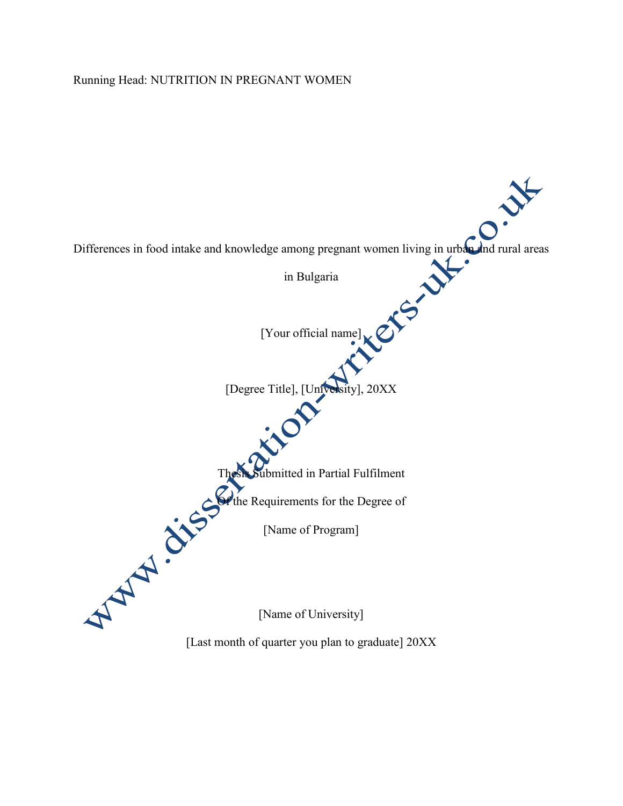### Running Head: NUTRITION IN PREGNANT WOMEN

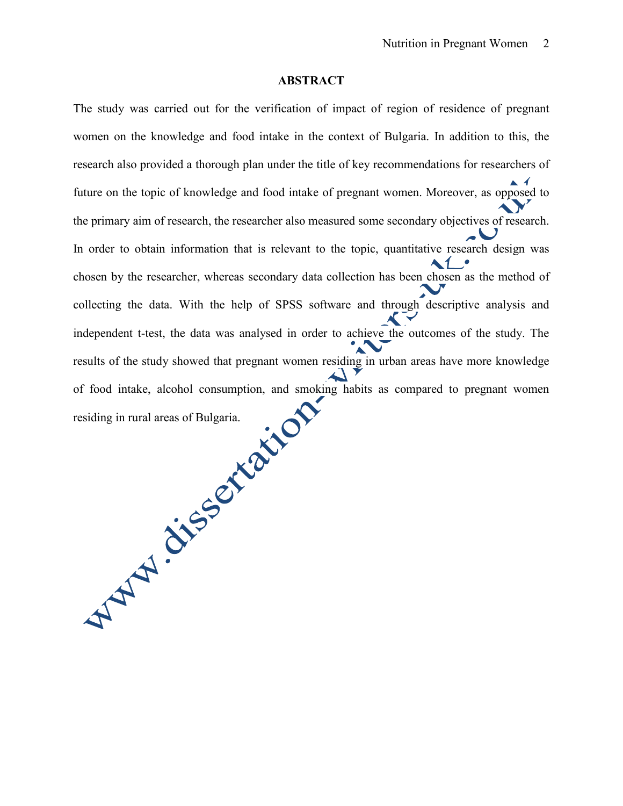#### **ABSTRACT**

The study was carried out for the verification of impact of region of residence of pregnant women on the knowledge and food intake in the context of Bulgaria. In addition to this, the research also provided a thorough plan under the title of key recommendations for researchers of  $\blacktriangle$  4 future on the topic of knowledge and food intake of pregnant women. Moreover, as opposed to the primary aim of research, the researcher also measured some secondary objectives of research. In order to obtain information that is relevant to the topic, quantitative research design was chosen by the researcher, whereas secondary data collection has been chosen as the method of collecting the data. With the help of SPSS software and through descriptive analysis and independent t-test, the data was analysed in order to achieve the outcomes of the study. The results of the study showed that pregnant women residing in urban areas have more knowledge residing in rural areas of Bulgaria. of food intake, alcohol consumption, and smoking habits as compared to pregnant women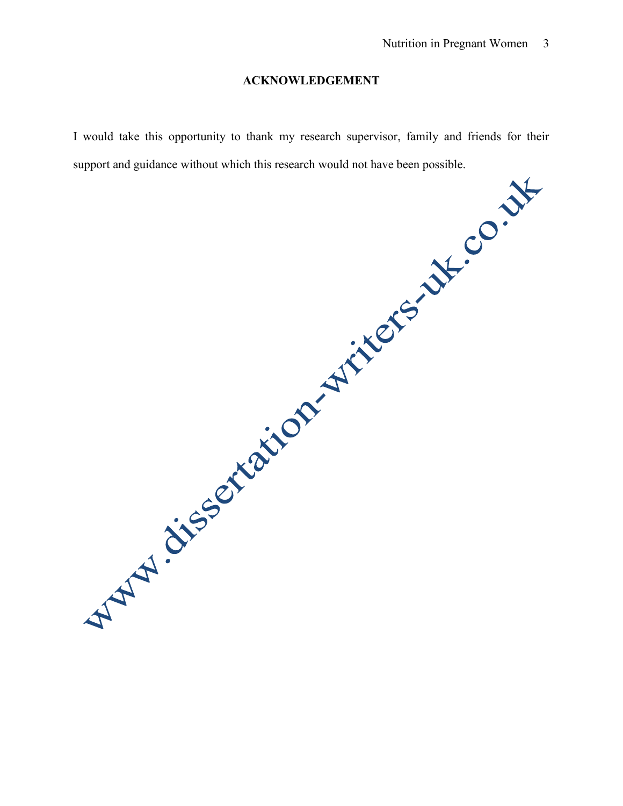### **ACKNOWLEDGEMENT**

I would take this opportunity to thank my research supervisor, family and friends for their support and guidance without which this research would not have been possible.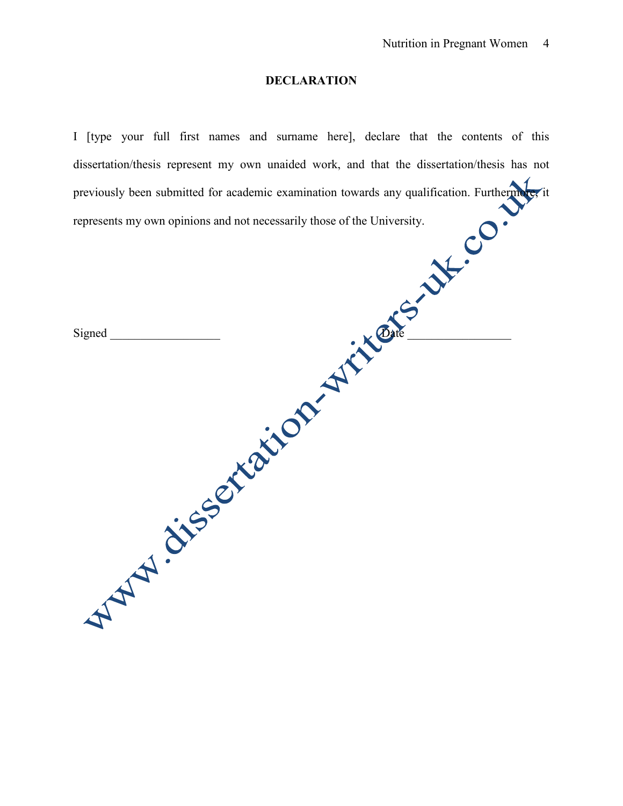### **DECLARATION**

I [type your full first names and surname here], declare that the contents of this dissertation/thesis represent my own unaided work, and that the dissertation/thesis has not previously been submitted for academic examination towards any qualification. Furthermore, it<br>represents my own opinions and not necessarily those of the University. represents my own opinions and not necessarily those of the University.

| Mary dissertation in the state |  |  |  |
|--------------------------------|--|--|--|
|                                |  |  |  |
|                                |  |  |  |
|                                |  |  |  |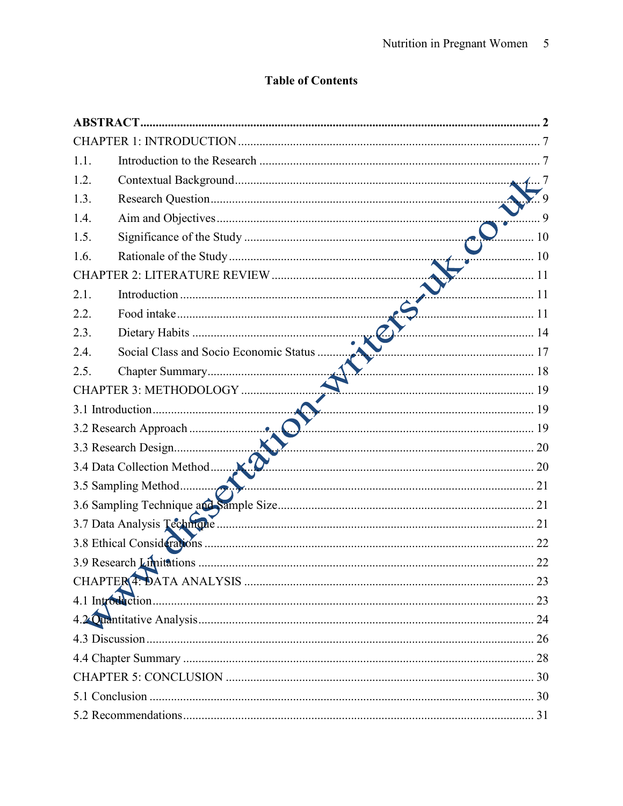# **Table of Contents**

| 1.1.                                           |      |
|------------------------------------------------|------|
| 1.2.                                           |      |
| 1.3.                                           |      |
| 1.4.                                           |      |
| 1.5.                                           |      |
| 1.6.                                           | 10   |
|                                                | . 11 |
| 2.1.<br>11                                     |      |
| 2.2.                                           |      |
| 2.3.                                           |      |
| Social Class and Socio Economic Status<br>2.4. |      |
| $\frac{18}{2}$<br>2.5.                         |      |
| CHAPTER 3: METHODOLOGY                         |      |
| 19                                             |      |
|                                                |      |
|                                                |      |
|                                                |      |
|                                                |      |
|                                                |      |
|                                                |      |
|                                                |      |
|                                                | 22   |
|                                                |      |
|                                                |      |
|                                                |      |
|                                                |      |
|                                                |      |
|                                                |      |
|                                                |      |
|                                                |      |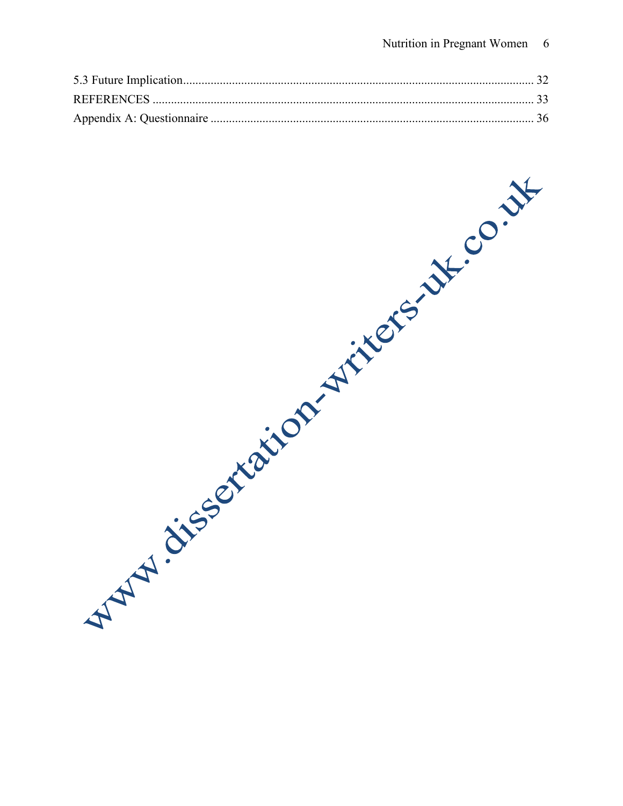What is construction with the control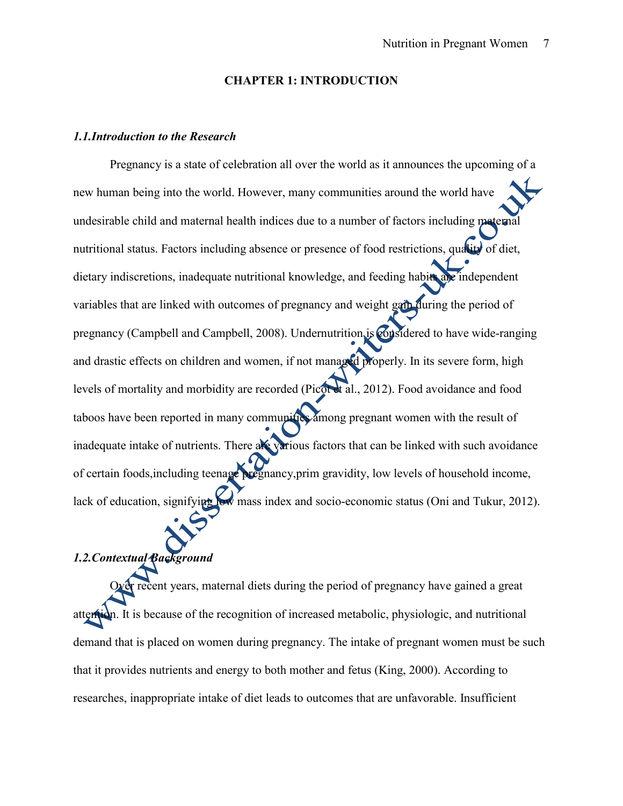#### **CHAPTER 1: INTRODUCTION**

#### *1.1.Introduction to the Research*

Pregnancy is a state of celebration all over the world as it announces the upcoming of a new human being into the world. However, many communities around the world have undesirable child and maternal health indices due to a number of factors including maternal nutritional status. Factors including absence or presence of food restrictions, quality of diet, dietary indiscretions, inadequate nutritional knowledge, and feeding habits are independent variables that are linked with outcomes of pregnancy and weight gain during the period of pregnancy (Campbell and Campbell, 2008). Undernutrition is considered to have wide-ranging and drastic effects on children and women, if not managed properly. In its severe form, high levels of mortality and morbidity are recorded (Picot et al., 2012). Food avoidance and food taboos have been reported in many communities among pregnant women with the result of inadequate intake of nutrients. There are various factors that can be linked with such avoidance of certain foods,including teenage pregnancy,prim gravidity, low levels of household income, lack of education, signifying low mass index and socio-economic status (Oni and Tukur, 2012).

# *1.2.Contextual Background*

Over recent years, maternal diets during the period of pregnancy have gained a great attention. It is because of the recognition of increased metabolic, physiologic, and nutritional demand that is placed on women during pregnancy. The intake of pregnant women must be such that it provides nutrients and energy to both mother and fetus (King, 2000). According to researches, inappropriate intake of diet leads to outcomes that are unfavorable. Insufficient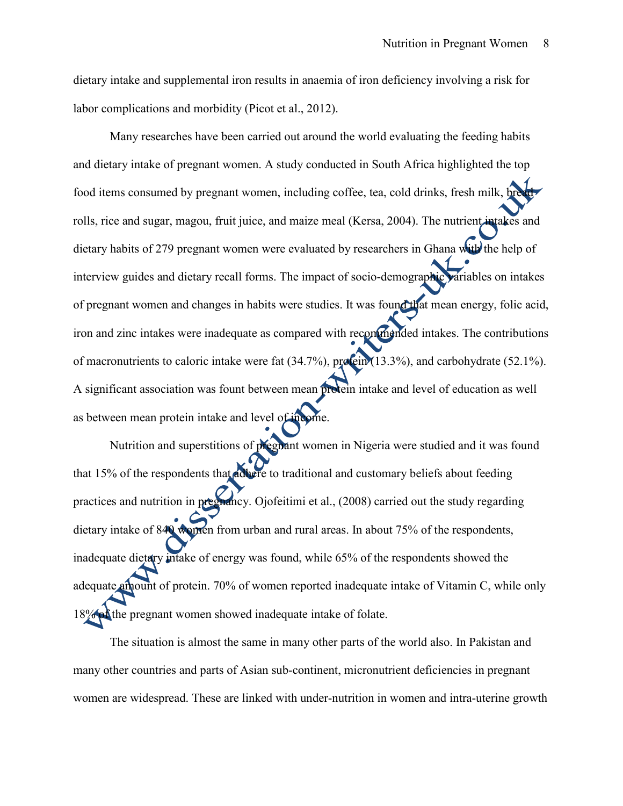dietary intake and supplemental iron results in anaemia of iron deficiency involving a risk for labor complications and morbidity (Picot et al., 2012).

Many researches have been carried out around the world evaluating the feeding habits and dietary intake of pregnant women. A study conducted in South Africa highlighted the top food items consumed by pregnant women, including coffee, tea, cold drinks, fresh milk, bread rolls, rice and sugar, magou, fruit juice, and maize meal (Kersa, 2004). The nutrient intakes and dietary habits of 279 pregnant women were evaluated by researchers in Ghana with the help of interview guides and dietary recall forms. The impact of socio-demographic variables on intakes of pregnant women and changes in habits were studies. It was found that mean energy, folic acid, iron and zinc intakes were inadequate as compared with recommended intakes. The contributions of macronutrients to caloric intake were fat (34.7%), protein (13.3%), and carbohydrate (52.1%). A significant association was fount between mean protein intake and level of education as well as between mean protein intake and level of income.

Nutrition and superstitions of pregnant women in Nigeria were studied and it was found that 15% of the respondents that adhere to traditional and customary beliefs about feeding practices and nutrition in pregnancy. Ojofeitimi et al., (2008) carried out the study regarding dietary intake of 840 women from urban and rural areas. In about 75% of the respondents, inadequate dietary intake of energy was found, while 65% of the respondents showed the adequate amount of protein. 70% of women reported inadequate intake of Vitamin C, while only 18% of the pregnant women showed inadequate intake of folate.

The situation is almost the same in many other parts of the world also. In Pakistan and many other countries and parts of Asian sub-continent, micronutrient deficiencies in pregnant women are widespread. These are linked with under-nutrition in women and intra-uterine growth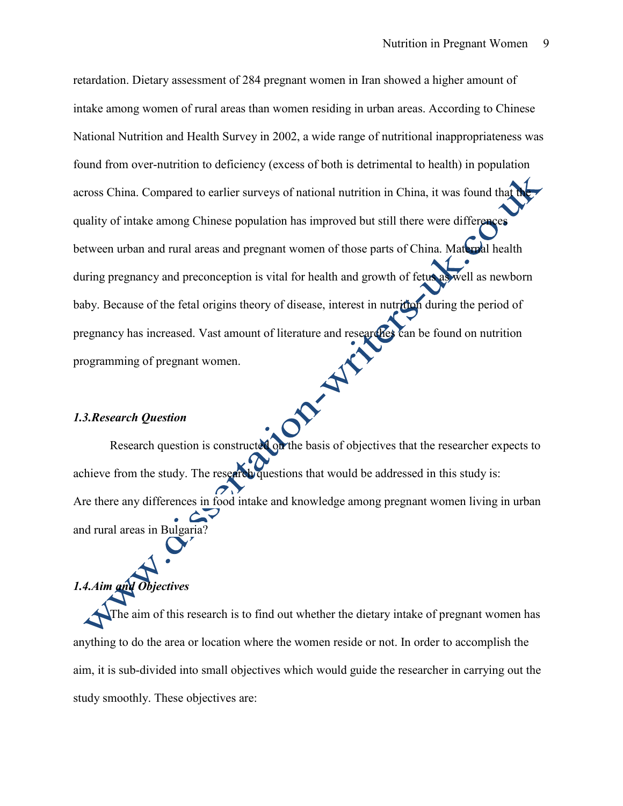retardation. Dietary assessment of 284 pregnant women in Iran showed a higher amount of intake among women of rural areas than women residing in urban areas. According to Chinese National Nutrition and Health Survey in 2002, a wide range of nutritional inappropriateness was found from over-nutrition to deficiency (excess of both is detrimental to health) in population across China. Compared to earlier surveys of national nutrition in China, it was found that quality of intake among Chinese population has improved but still there were differences between urban and rural areas and pregnant women of those parts of China. Maternal health during pregnancy and preconception is vital for health and growth of fetus as well as newborn baby. Because of the fetal origins theory of disease, interest in nutrition during the period of pregnancy has increased. Vast amount of literature and researches can be found on nutrition<br>programming of pregnant women.<br>1.3.Research Question programming of pregnant women.

#### *1.3.Research Question*

Research question is constructed on the basis of objectives that the researcher expects to achieve from the study. The research questions that would be addressed in this study is: Are there any differences in food intake and knowledge among pregnant women living in urban and rural areas in Bulgaria?

# *1.4.Aim and Objectives*

The aim of this research is to find out whether the dietary intake of pregnant women has anything to do the area or location where the women reside or not. In order to accomplish the aim, it is sub-divided into small objectives which would guide the researcher in carrying out the study smoothly. These objectives are: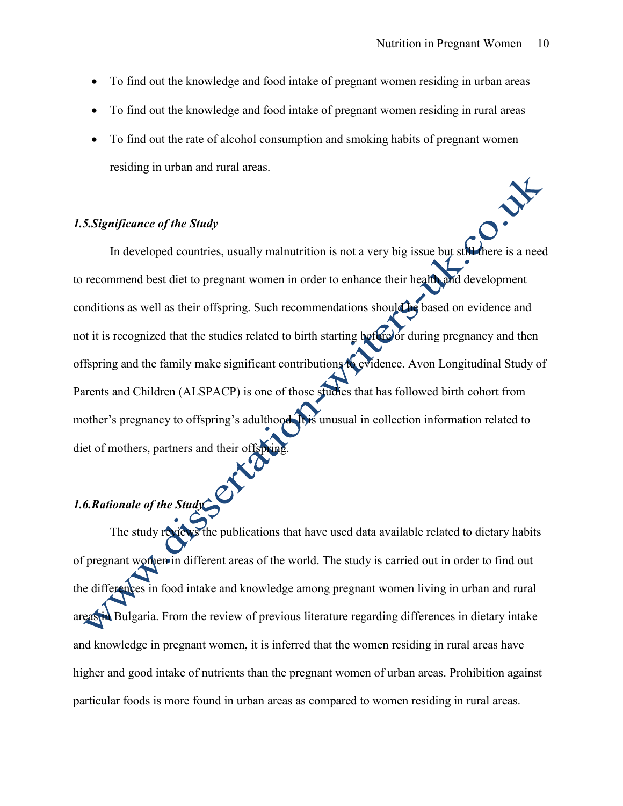- To find out the knowledge and food intake of pregnant women residing in urban areas
- To find out the knowledge and food intake of pregnant women residing in rural areas
- To find out the rate of alcohol consumption and smoking habits of pregnant women residing in urban and rural areas.

#### *1.5.Significance of the Study*

In developed countries, usually malnutrition is not a very big issue but still there is a need to recommend best diet to pregnant women in order to enhance their health and development conditions as well as their offspring. Such recommendations should be based on evidence and not it is recognized that the studies related to birth starting before or during pregnancy and then offspring and the family make significant contributions to evidence. Avon Longitudinal Study of Parents and Children (ALSPACP) is one of those studies that has followed birth cohort from mother's pregnancy to offspring's adulthood. It is unusual in collection information related to diet of mothers, partners and their offsprin

# *1.6.Rationale of the Study*

The study reviews the publications that have used data available related to dietary habits of pregnant women in different areas of the world. The study is carried out in order to find out the differences in food intake and knowledge among pregnant women living in urban and rural areas in Bulgaria. From the review of previous literature regarding differences in dietary intake and knowledge in pregnant women, it is inferred that the women residing in rural areas have higher and good intake of nutrients than the pregnant women of urban areas. Prohibition against particular foods is more found in urban areas as compared to women residing in rural areas.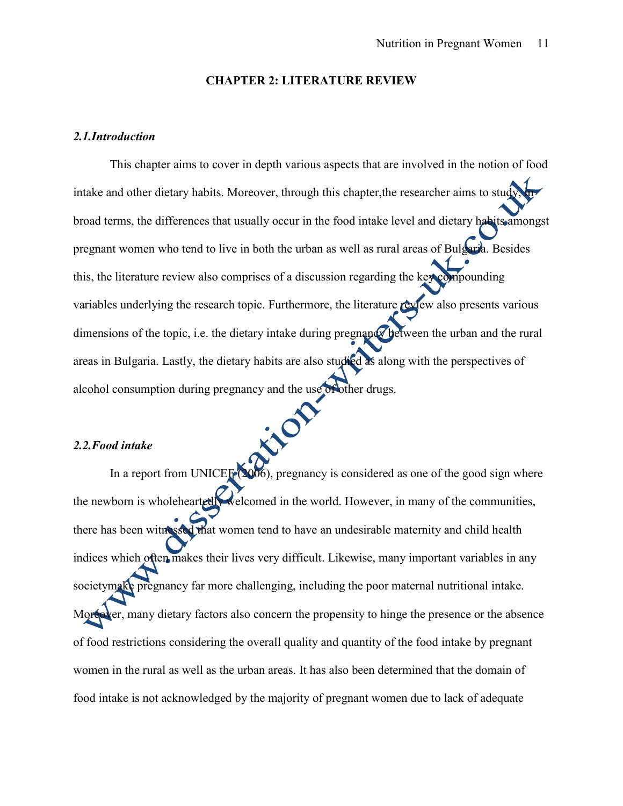#### **CHAPTER 2: LITERATURE REVIEW**

#### *2.1.Introduction*

This chapter aims to cover in depth various aspects that are involved in the notion of food intake and other dietary habits. Moreover, through this chapter, the researcher aims to study broad terms, the differences that usually occur in the food intake level and dietary habits amongst pregnant women who tend to live in both the urban as well as rural areas of Bulgaria. Besides this, the literature review also comprises of a discussion regarding the key compounding variables underlying the research topic. Furthermore, the literature review also presents various dimensions of the topic, i.e. the dietary intake during pregnancy between the urban and the rural areas in Bulgaria. Lastly, the dietary habits are also studied as along with the perspectives of alcohol consumption during pregnancy and the use of other drugs.

#### *2.2.Food intake*

In a report from UNICEF (2006), pregnancy is considered as one of the good sign where the newborn is wholeheartedly welcomed in the world. However, in many of the communities, there has been witnessed that women tend to have an undesirable maternity and child health indices which often makes their lives very difficult. Likewise, many important variables in any societymake pregnancy far more challenging, including the poor maternal nutritional intake. Moreover, many dietary factors also concern the propensity to hinge the presence or the absence of food restrictions considering the overall quality and quantity of the food intake by pregnant women in the rural as well as the urban areas. It has also been determined that the domain of food intake is not acknowledged by the majority of pregnant women due to lack of adequate

inon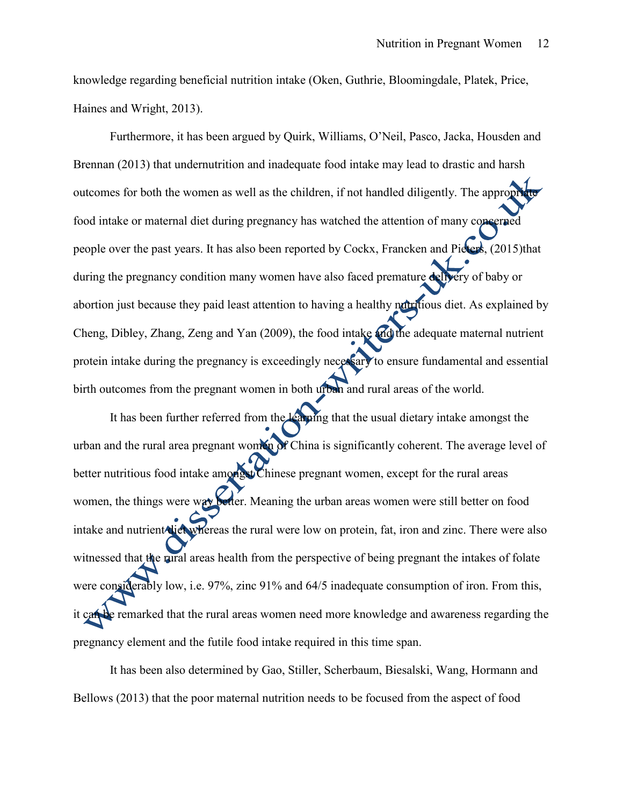knowledge regarding beneficial nutrition intake (Oken, Guthrie, Bloomingdale, Platek, Price, Haines and Wright, 2013).

Furthermore, it has been argued by Quirk, Williams, O'Neil, Pasco, Jacka, Housden and Brennan (2013) that undernutrition and inadequate food intake may lead to drastic and harsh outcomes for both the women as well as the children, if not handled diligently. The appropri food intake or maternal diet during pregnancy has watched the attention of many concerned people over the past years. It has also been reported by Cockx, Francken and Pieters, (2015)that during the pregnancy condition many women have also faced premature delivery of baby or abortion just because they paid least attention to having a healthy nutritious diet. As explained by Cheng, Dibley, Zhang, Zeng and Yan (2009), the food intake and the adequate maternal nutrient protein intake during the pregnancy is exceedingly necessary to ensure fundamental and essential birth outcomes from the pregnant women in both urban and rural areas of the world.

It has been further referred from the learning that the usual dietary intake amongst the urban and the rural area pregnant women of China is significantly coherent. The average level of better nutritious food intake amongst Chinese pregnant women, except for the rural areas women, the things were way better. Meaning the urban areas women were still better on food intake and nutrient diet whereas the rural were low on protein, fat, iron and zinc. There were also witnessed that the rural areas health from the perspective of being pregnant the intakes of folate were considerably low, i.e. 97%, zinc 91% and 64/5 inadequate consumption of iron. From this, it can be remarked that the rural areas women need more knowledge and awareness regarding the pregnancy element and the futile food intake required in this time span.

It has been also determined by Gao, Stiller, Scherbaum, Biesalski, Wang, Hormann and Bellows (2013) that the poor maternal nutrition needs to be focused from the aspect of food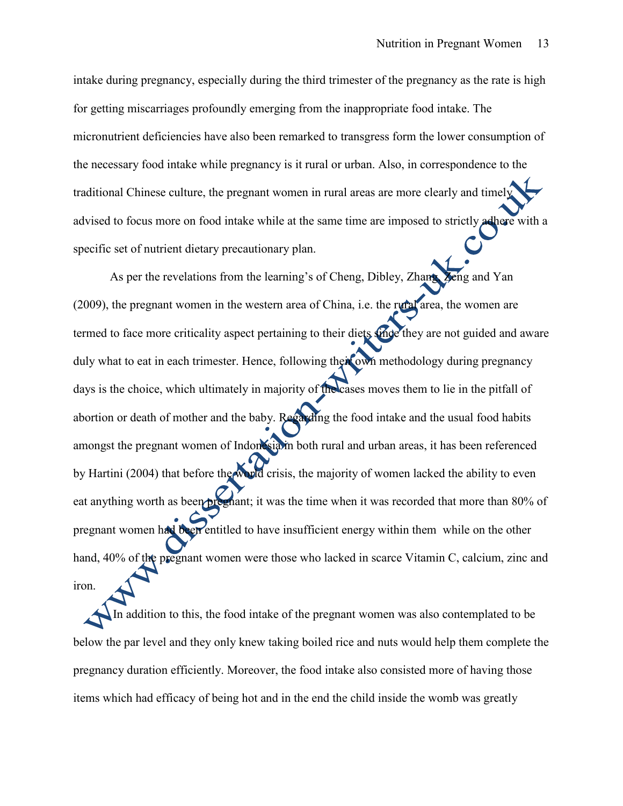intake during pregnancy, especially during the third trimester of the pregnancy as the rate is high for getting miscarriages profoundly emerging from the inappropriate food intake. The micronutrient deficiencies have also been remarked to transgress form the lower consumption of the necessary food intake while pregnancy is it rural or urban. Also, in correspondence to the traditional Chinese culture, the pregnant women in rural areas are more clearly and timely advised to focus more on food intake while at the same time are imposed to strictly adhere with a specific set of nutrient dietary precautionary plan.

As per the revelations from the learning's of Cheng, Dibley, Zhang, Zeng and Yan (2009), the pregnant women in the western area of China, i.e. the rural area, the women are termed to face more criticality aspect pertaining to their diets since they are not guided and aware duly what to eat in each trimester. Hence, following their own methodology during pregnancy days is the choice, which ultimately in majority of the cases moves them to lie in the pitfall of abortion or death of mother and the baby. Regarding the food intake and the usual food habits amongst the pregnant women of Indonesia in both rural and urban areas, it has been referenced by Hartini (2004) that before the world crisis, the majority of women lacked the ability to even eat anything worth as been pregnant; it was the time when it was recorded that more than 80% of pregnant women had been entitled to have insufficient energy within them while on the other hand, 40% of the pregnant women were those who lacked in scarce Vitamin C, calcium, zinc and iron.

In addition to this, the food intake of the pregnant women was also contemplated to be below the par level and they only knew taking boiled rice and nuts would help them complete the pregnancy duration efficiently. Moreover, the food intake also consisted more of having those items which had efficacy of being hot and in the end the child inside the womb was greatly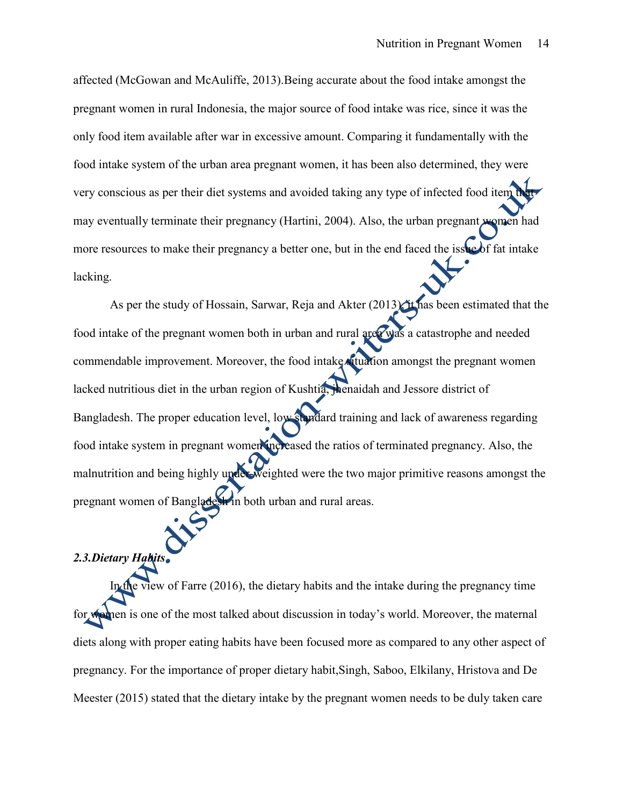affected (McGowan and McAuliffe, 2013).Being accurate about the food intake amongst the pregnant women in rural Indonesia, the major source of food intake was rice, since it was the only food item available after war in excessive amount. Comparing it fundamentally with the food intake system of the urban area pregnant women, it has been also determined, they were very conscious as per their diet systems and avoided taking any type of infected food item that may eventually terminate their pregnancy (Hartini, 2004). Also, the urban pregnant women had more resources to make their pregnancy a better one, but in the end faced the issue of fat intake lacking.

As per the study of Hossain, Sarwar, Reja and Akter  $(2013)$ , it has been estimated that the food intake of the pregnant women both in urban and rural area was a catastrophe and needed commendable improvement. Moreover, the food intake situation amongst the pregnant women lacked nutritious diet in the urban region of Kushtia, jhenaidah and Jessore district of Bangladesh. The proper education level, low standard training and lack of awareness regarding food intake system in pregnant women increased the ratios of terminated pregnancy. Also, the malnutrition and being highly under-weighted were the two major primitive reasons amongst the pregnant women of Bangladesh in both urban and rural areas.

### *2.3.Dietary Habits*

In the view of Farre (2016), the dietary habits and the intake during the pregnancy time for women is one of the most talked about discussion in today's world. Moreover, the maternal diets along with proper eating habits have been focused more as compared to any other aspect of pregnancy. For the importance of proper dietary habit,Singh, Saboo, Elkilany, Hristova and De Meester (2015) stated that the dietary intake by the pregnant women needs to be duly taken care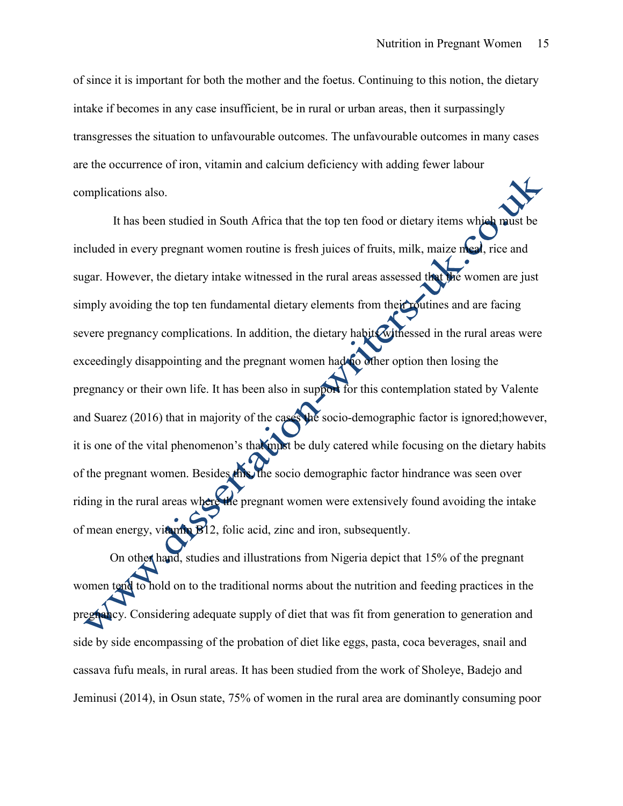of since it is important for both the mother and the foetus. Continuing to this notion, the dietary intake if becomes in any case insufficient, be in rural or urban areas, then it surpassingly transgresses the situation to unfavourable outcomes. The unfavourable outcomes in many cases are the occurrence of iron, vitamin and calcium deficiency with adding fewer labour complications also.

It has been studied in South Africa that the top ten food or dietary items which must be included in every pregnant women routine is fresh juices of fruits, milk, maize meal, rice and sugar. However, the dietary intake witnessed in the rural areas assessed that the women are just simply avoiding the top ten fundamental dietary elements from their routines and are facing severe pregnancy complications. In addition, the dietary habits withessed in the rural areas were exceedingly disappointing and the pregnant women had no other option then losing the pregnancy or their own life. It has been also in support for this contemplation stated by Valente and Suarez (2016) that in majority of the cases the socio-demographic factor is ignored;however, it is one of the vital phenomenon's that must be duly catered while focusing on the dietary habits of the pregnant women. Besides this, the socio demographic factor hindrance was seen over riding in the rural areas where the pregnant women were extensively found avoiding the intake of mean energy, vitamin B12, folic acid, zinc and iron, subsequently.

On other hand, studies and illustrations from Nigeria depict that 15% of the pregnant women tend to hold on to the traditional norms about the nutrition and feeding practices in the pregnancy. Considering adequate supply of diet that was fit from generation to generation and side by side encompassing of the probation of diet like eggs, pasta, coca beverages, snail and cassava fufu meals, in rural areas. It has been studied from the work of Sholeye, Badejo and Jeminusi (2014), in Osun state, 75% of women in the rural area are dominantly consuming poor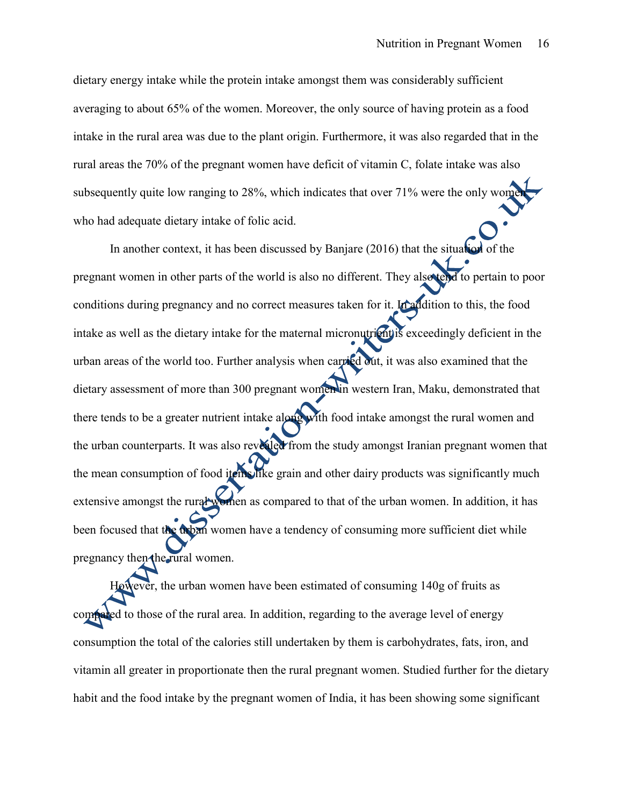dietary energy intake while the protein intake amongst them was considerably sufficient averaging to about 65% of the women. Moreover, the only source of having protein as a food intake in the rural area was due to the plant origin. Furthermore, it was also regarded that in the rural areas the 70% of the pregnant women have deficit of vitamin C, folate intake was also subsequently quite low ranging to  $28\%$ , which indicates that over  $71\%$  were the only wom who had adequate dietary intake of folic acid.

In another context, it has been discussed by Banjare (2016) that the situation of the pregnant women in other parts of the world is also no different. They also tend to pertain to poor conditions during pregnancy and no correct measures taken for it. In addition to this, the food intake as well as the dietary intake for the maternal micronutrient is exceedingly deficient in the urban areas of the world too. Further analysis when carried out, it was also examined that the dietary assessment of more than 300 pregnant women in western Iran, Maku, demonstrated that there tends to be a greater nutrient intake along with food intake amongst the rural women and the urban counterparts. It was also revealed from the study amongst Iranian pregnant women that the mean consumption of food items like grain and other dairy products was significantly much extensive amongst the rural women as compared to that of the urban women. In addition, it has been focused that the urban women have a tendency of consuming more sufficient diet while pregnancy then the rural women.

However, the urban women have been estimated of consuming 140g of fruits as compared to those of the rural area. In addition, regarding to the average level of energy consumption the total of the calories still undertaken by them is carbohydrates, fats, iron, and vitamin all greater in proportionate then the rural pregnant women. Studied further for the dietary habit and the food intake by the pregnant women of India, it has been showing some significant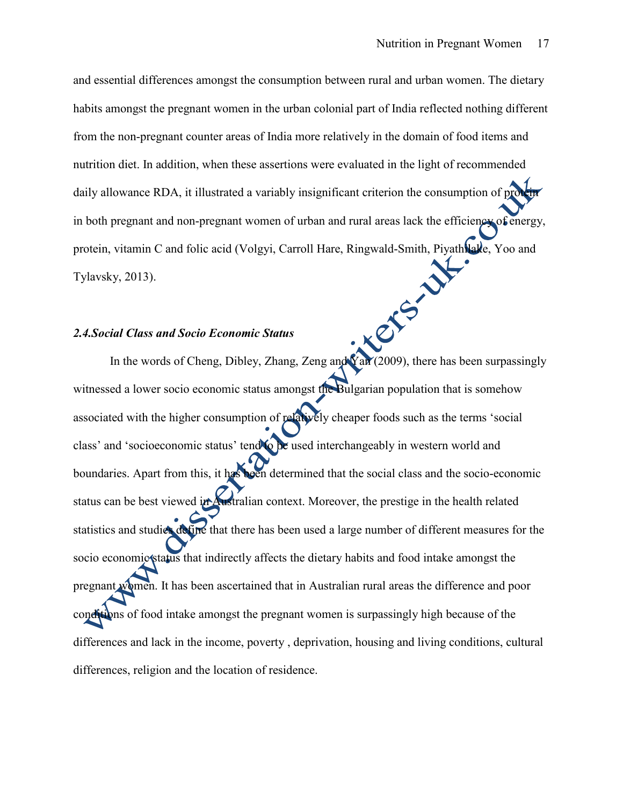and essential differences amongst the consumption between rural and urban women. The dietary habits amongst the pregnant women in the urban colonial part of India reflected nothing different from the non-pregnant counter areas of India more relatively in the domain of food items and nutrition diet. In addition, when these assertions were evaluated in the light of recommended daily allowance RDA, it illustrated a variably insignificant criterion the consumption of protein in both pregnant and non-pregnant women of urban and rural areas lack the efficiency of energy, protein, vitamin C and folic acid (Volgyi, Carroll Hare, Ringwald-Smith, Piyathilake, Yoo and Tylavsky, 2013). In the words of Cheng, Dibley, Zhang, Zeng and Yan (2009), there has been surpassingly

#### *2.4.Social Class and Socio Economic Status*

witnessed a lower socio economic status amongst the Bulgarian population that is somehow associated with the higher consumption of relatively cheaper foods such as the terms 'social class' and 'socioeconomic status' tend to be used interchangeably in western world and boundaries. Apart from this, it has been determined that the social class and the socio-economic status can be best viewed in Australian context. Moreover, the prestige in the health related statistics and studies define that there has been used a large number of different measures for the socio economic status that indirectly affects the dietary habits and food intake amongst the pregnant women. It has been ascertained that in Australian rural areas the difference and poor conditions of food intake amongst the pregnant women is surpassingly high because of the differences and lack in the income, poverty , deprivation, housing and living conditions, cultural differences, religion and the location of residence.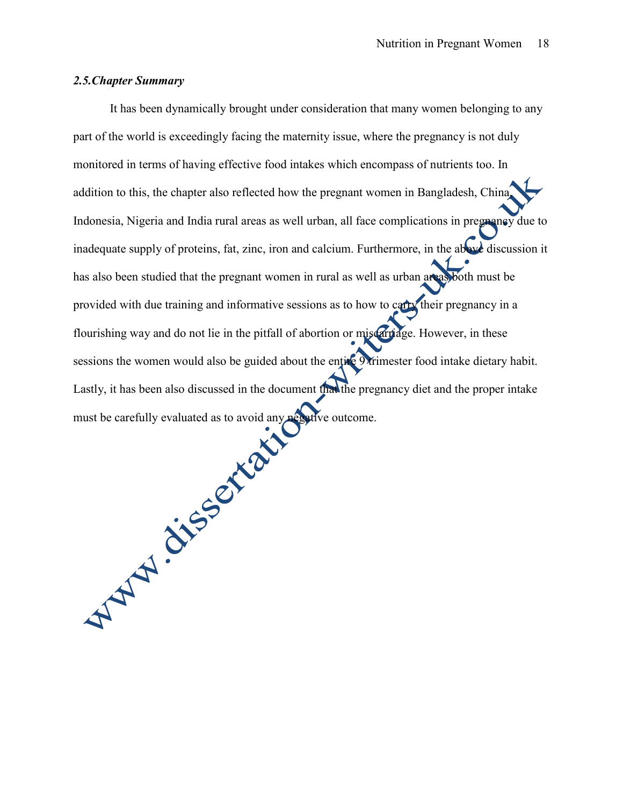### *2.5.Chapter Summary*

It has been dynamically brought under consideration that many women belonging to any part of the world is exceedingly facing the maternity issue, where the pregnancy is not duly monitored in terms of having effective food intakes which encompass of nutrients too. In addition to this, the chapter also reflected how the pregnant women in Bangladesh, China, Indonesia, Nigeria and India rural areas as well urban, all face complications in pregnancy due to inadequate supply of proteins, fat, zinc, iron and calcium. Furthermore, in the above discussion it has also been studied that the pregnant women in rural as well as urban areas both must be provided with due training and informative sessions as to how to carry their pregnancy in a flourishing way and do not lie in the pitfall of abortion or miscarriage. However, in these sessions the women would also be guided about the entire 9 trimester food intake dietary habit. Lastly, it has been also discussed in the document that the pregnancy diet and the proper intake<br>must be carefully evaluated as to avoid any properties outcome. must be carefully evaluated as to avoid any negative outcome.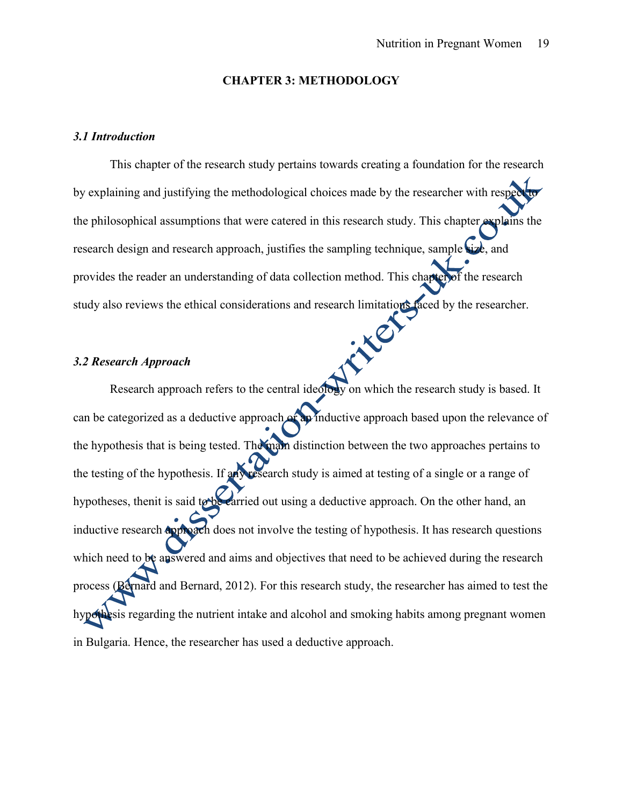#### **CHAPTER 3: METHODOLOGY**

#### *3.1 Introduction*

This chapter of the research study pertains towards creating a foundation for the research by explaining and justifying the methodological choices made by the researcher with respected the philosophical assumptions that were catered in this research study. This chapter explains the research design and research approach, justifies the sampling technique, sample size, and provides the reader an understanding of data collection method. This chapter of the research study also reviews the ethical considerations and research limitations faced by the researcher.<br>3.2 Research Annual considerations and research limitations faced by the researcher.

#### *3.2 Research Approach*

Research approach refers to the central ideology on which the research study is based. It can be categorized as a deductive approach or an inductive approach based upon the relevance of the hypothesis that is being tested. The main distinction between the two approaches pertains to the testing of the hypothesis. If any research study is aimed at testing of a single or a range of hypotheses, then it is said to be carried out using a deductive approach. On the other hand, an inductive research **approach** does not involve the testing of hypothesis. It has research questions which need to be answered and aims and objectives that need to be achieved during the research process (Bernard and Bernard, 2012). For this research study, the researcher has aimed to test the hypothesis regarding the nutrient intake and alcohol and smoking habits among pregnant women in Bulgaria. Hence, the researcher has used a deductive approach.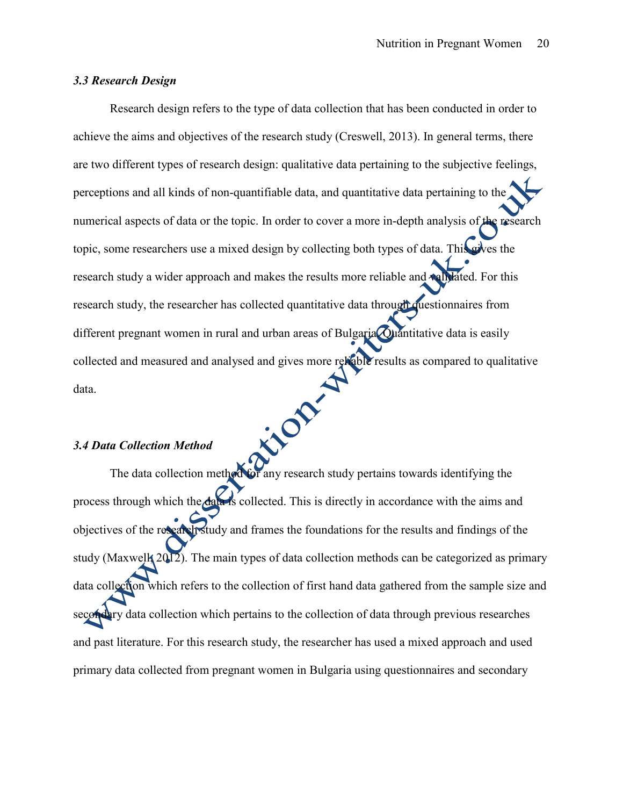#### *3.3 Research Design*

Research design refers to the type of data collection that has been conducted in order to achieve the aims and objectives of the research study (Creswell, 2013). In general terms, there are two different types of research design: qualitative data pertaining to the subjective feelings, perceptions and all kinds of non-quantifiable data, and quantitative data pertaining to the numerical aspects of data or the topic. In order to cover a more in-depth analysis of the research topic, some researchers use a mixed design by collecting both types of data. This gives the research study a wider approach and makes the results more reliable and validated. For this research study, the researcher has collected quantitative data through questionnaires from different pregnant women in rural and urban areas of Bulgaria Quantitative data is easily collected and measured and analysed and gives more reliable results as compared to qualitative<br>data. data.

#### *3.4 Data Collection Method*

The data collection method for any research study pertains towards identifying the process through which the data is collected. This is directly in accordance with the aims and objectives of the research study and frames the foundations for the results and findings of the study (Maxwell, 2012). The main types of data collection methods can be categorized as primary data collection which refers to the collection of first hand data gathered from the sample size and secondary data collection which pertains to the collection of data through previous researches and past literature. For this research study, the researcher has used a mixed approach and used primary data collected from pregnant women in Bulgaria using questionnaires and secondary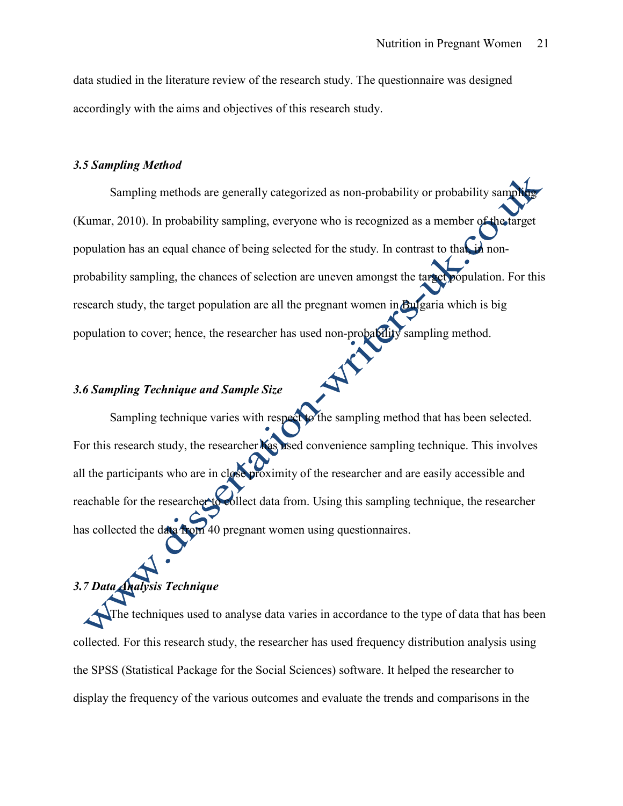data studied in the literature review of the research study. The questionnaire was designed accordingly with the aims and objectives of this research study.

#### *3.5 Sampling Method*

Sampling methods are generally categorized as non-probability or probability samp (Kumar, 2010). In probability sampling, everyone who is recognized as a member of the target population has an equal chance of being selected for the study. In contrast to that, in nonprobability sampling, the chances of selection are uneven amongst the target population. For this research study, the target population are all the pregnant women in Bulgaria which is big population to cover; hence, the researcher has used non-probability sampling method.

### *3.6 Sampling Technique and Sample Size*

Sampling technique varies with respect to the sampling method that has been selected. For this research study, the researcher has used convenience sampling technique. This involves all the participants who are in close proximity of the researcher and are easily accessible and reachable for the researcher to collect data from. Using this sampling technique, the researcher has collected the data from 40 pregnant women using questionnaires.

### *3.7 Data Analysis Technique*

The techniques used to analyse data varies in accordance to the type of data that has been collected. For this research study, the researcher has used frequency distribution analysis using the SPSS (Statistical Package for the Social Sciences) software. It helped the researcher to display the frequency of the various outcomes and evaluate the trends and comparisons in the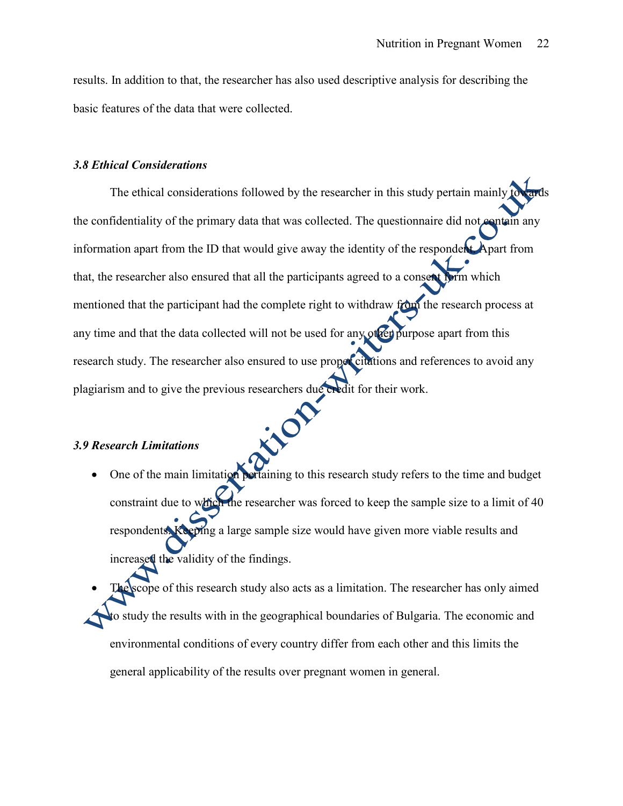results. In addition to that, the researcher has also used descriptive analysis for describing the basic features of the data that were collected.

#### *3.8 Ethical Considerations*

The ethical considerations followed by the researcher in this study pertain mainly to the confidentiality of the primary data that was collected. The questionnaire did not contain any information apart from the ID that would give away the identity of the respondent. Apart from that, the researcher also ensured that all the participants agreed to a consent form which mentioned that the participant had the complete right to withdraw from the research process at any time and that the data collected will not be used for any other purpose apart from this research study. The researcher also ensured to use proper citations and references to avoid any plagiarism and to give the previous researchers due credit for their work.

#### *3.9 Research Limitations*

• One of the main limitation pertaining to this research study refers to the time and budget constraint due to which the researcher was forced to keep the sample size to a limit of 40 respondents. Keeping a large sample size would have given more viable results and increased the validity of the findings.

inop

 The scope of this research study also acts as a limitation. The researcher has only aimed to study the results with in the geographical boundaries of Bulgaria. The economic and environmental conditions of every country differ from each other and this limits the general applicability of the results over pregnant women in general.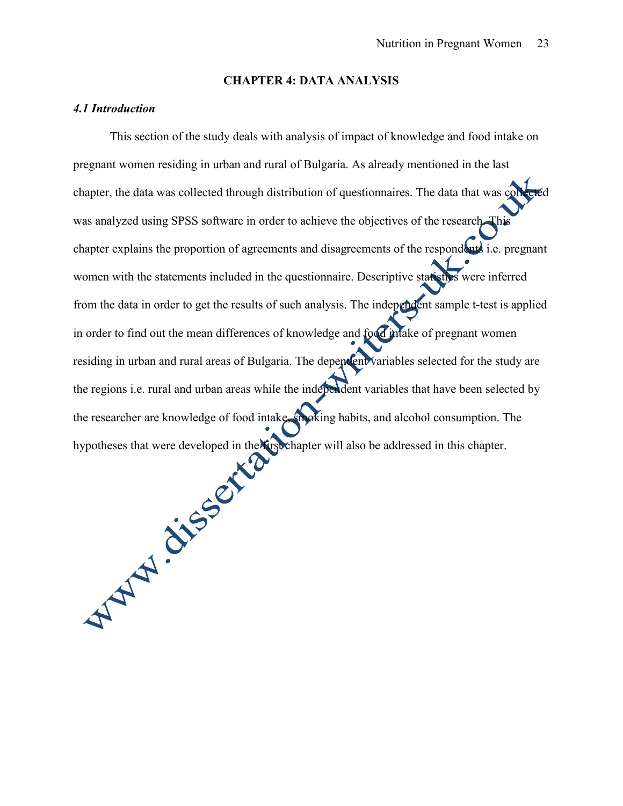#### **CHAPTER 4: DATA ANALYSIS**

#### *4.1 Introduction*

This section of the study deals with analysis of impact of knowledge and food intake on pregnant women residing in urban and rural of Bulgaria. As already mentioned in the last chapter, the data was collected through distribution of questionnaires. The data that was collected was analyzed using SPSS software in order to achieve the objectives of the research. This chapter explains the proportion of agreements and disagreements of the respondents i.e. pregnant women with the statements included in the questionnaire. Descriptive statistics were inferred from the data in order to get the results of such analysis. The independent sample t-test is applied in order to find out the mean differences of knowledge and food intake of pregnant women residing in urban and rural areas of Bulgaria. The dependent variables selected for the study are the regions i.e. rural and urban areas while the independent variables that have been selected by the researcher are knowledge of food intake, smoking habits, and alcohol consumption. The<br>hypotheses that were developed in the missionapter will also be addressed in this chapter. hypotheses that were developed in the first chapter will also be addressed in this chapter.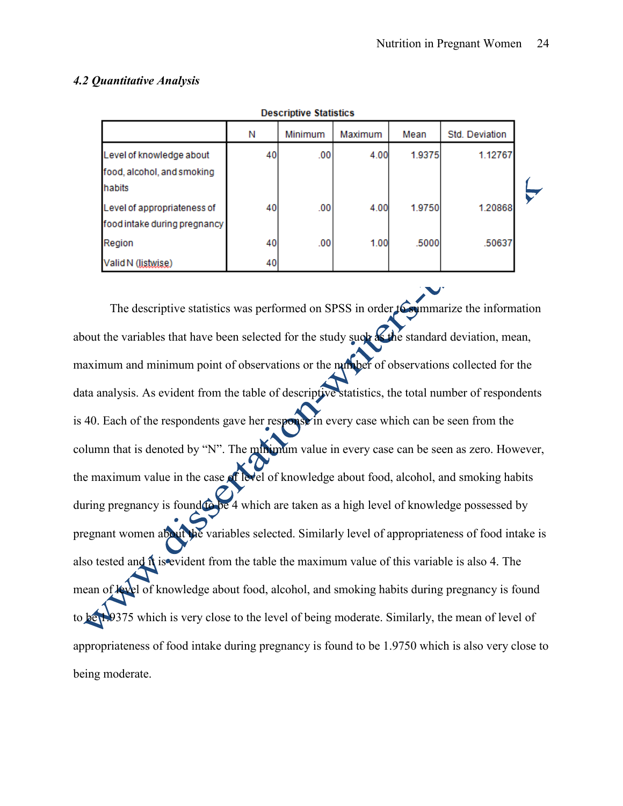#### *4.2 Quantitative Analysis*

| Descriptive Statistics                                           |    |         |         |        |                |  |  |
|------------------------------------------------------------------|----|---------|---------|--------|----------------|--|--|
|                                                                  | Ν  | Minimum | Maximum | Mean   | Std. Deviation |  |  |
| Level of knowledge about<br>food, alcohol, and smoking<br>habits | 40 | .00     | 4.00    | 1.9375 | 1.12767        |  |  |
| Level of appropriateness of<br>food intake during pregnancy      | 40 | .00     | 4.00    | 1.9750 | 1.20868        |  |  |
| Region                                                           | 40 | .00     | 1.00    | .5000  | .50637         |  |  |
| Valid N (listwise)                                               | 40 |         |         |        |                |  |  |

ances massacres

The descriptive statistics was performed on SPSS in order to summarize the information about the variables that have been selected for the study such as the standard deviation, mean, maximum and minimum point of observations or the number of observations collected for the data analysis. As evident from the table of descriptive statistics, the total number of respondents is 40. Each of the respondents gave her response in every case which can be seen from the column that is denoted by "N". The minimum value in every case can be seen as zero. However, the maximum value in the case of level of knowledge about food, alcohol, and smoking habits during pregnancy is found to be 4 which are taken as a high level of knowledge possessed by pregnant women about the variables selected. Similarly level of appropriateness of food intake is also tested and it is evident from the table the maximum value of this variable is also 4. The mean of level of knowledge about food, alcohol, and smoking habits during pregnancy is found to be 1.9375 which is very close to the level of being moderate. Similarly, the mean of level of appropriateness of food intake during pregnancy is found to be 1.9750 which is also very close to being moderate.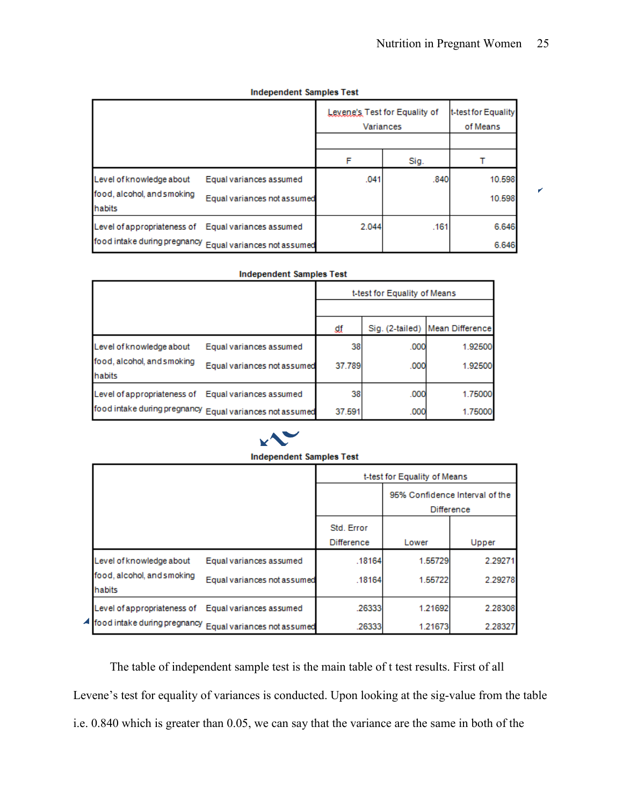K

#### **Independent Samples Test**

|                                                     |                                                          | Variances | Levene's Test for Equality of | t-test for Equality<br>of Means |
|-----------------------------------------------------|----------------------------------------------------------|-----------|-------------------------------|---------------------------------|
|                                                     |                                                          | F         | Sig.                          |                                 |
| Level of knowledge about                            | Equal variances assumed                                  | .041      | .840                          | 10.598                          |
| food, alcohol, and smoking<br>habits                | Equal variances not assumed                              |           |                               | 10.598                          |
| Level of appropriateness of Equal variances assumed |                                                          | 2.044     | .161                          | 6.646                           |
|                                                     | food intake during pregnancy Equal variances not assumed |           |                               | 6.646                           |

| <b>Independent Samples Test</b> |  |  |
|---------------------------------|--|--|
|                                 |  |  |

|                                      |                                                          | t-test for Equality of Means |                 |                 |
|--------------------------------------|----------------------------------------------------------|------------------------------|-----------------|-----------------|
|                                      |                                                          |                              |                 |                 |
|                                      |                                                          | ₫₫                           | Sig. (2-tailed) | Mean Difference |
| Level of knowledge about             | Equal variances assumed                                  | 38                           | .000            | 1.92500         |
| food, alcohol, and smoking<br>habits | Equal variances not assumed                              | 37.789                       | .000            | 1.92500         |
| Level of appropriateness of          | Equal variances assumed                                  | 38                           | .000            | 1.75000         |
|                                      | food intake during pregnancy Equal variances not assumed | 37.591                       | .000            | 1.75000         |



#### **Independent Samples Test**

|                                                     |                                                            | t-test for Equality of Means |         |                                |
|-----------------------------------------------------|------------------------------------------------------------|------------------------------|---------|--------------------------------|
|                                                     |                                                            |                              |         | 95% Confidence Interval of the |
|                                                     |                                                            |                              |         | <b>Difference</b>              |
|                                                     |                                                            | Std. Error                   |         |                                |
|                                                     |                                                            | Difference                   | Lower   | Upper                          |
| Level of knowledge about                            | Equal variances assumed                                    | .18164                       | 1.55729 | 2.29271                        |
| food, alcohol, and smoking<br>habits                | Equal variances not assumed                                | .18164                       | 1.55722 | 2.29278                        |
| Level of appropriateness of Equal variances assumed |                                                            | .26333                       | 1.21692 | 2.28308                        |
|                                                     | 4 food intake during pregnancy Equal variances not assumed | .26333                       | 1.21673 | 2.28327                        |

The table of independent sample test is the main table of t test results. First of all Levene's test for equality of variances is conducted. Upon looking at the sig-value from the table i.e. 0.840 which is greater than 0.05, we can say that the variance are the same in both of the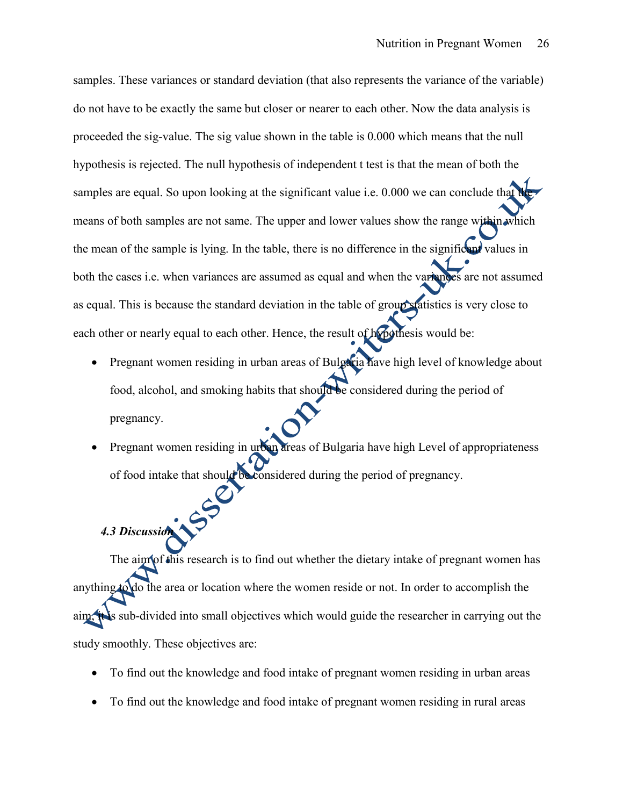samples. These variances or standard deviation (that also represents the variance of the variable) do not have to be exactly the same but closer or nearer to each other. Now the data analysis is proceeded the sig-value. The sig value shown in the table is 0.000 which means that the null hypothesis is rejected. The null hypothesis of independent t test is that the mean of both the samples are equal. So upon looking at the significant value i.e.  $0.000$  we can conclude that means of both samples are not same. The upper and lower values show the range within which the mean of the sample is lying. In the table, there is no difference in the significant values in both the cases i.e. when variances are assumed as equal and when the variances are not assumed as equal. This is because the standard deviation in the table of group statistics is very close to each other or nearly equal to each other. Hence, the result of hypothesis would be:

- Pregnant women residing in urban areas of Bulgaria have high level of knowledge about food, alcohol, and smoking habits that should be considered during the period of pregnancy.
- Pregnant women residing in urban areas of Bulgaria have high Level of appropriateness of food intake that should be considered during the period of pregnancy.

# *4.3 Discussion*

The aim of this research is to find out whether the dietary intake of pregnant women has anything to do the area or location where the women reside or not. In order to accomplish the aim, it is sub-divided into small objectives which would guide the researcher in carrying out the study smoothly. These objectives are:

- To find out the knowledge and food intake of pregnant women residing in urban areas
- To find out the knowledge and food intake of pregnant women residing in rural areas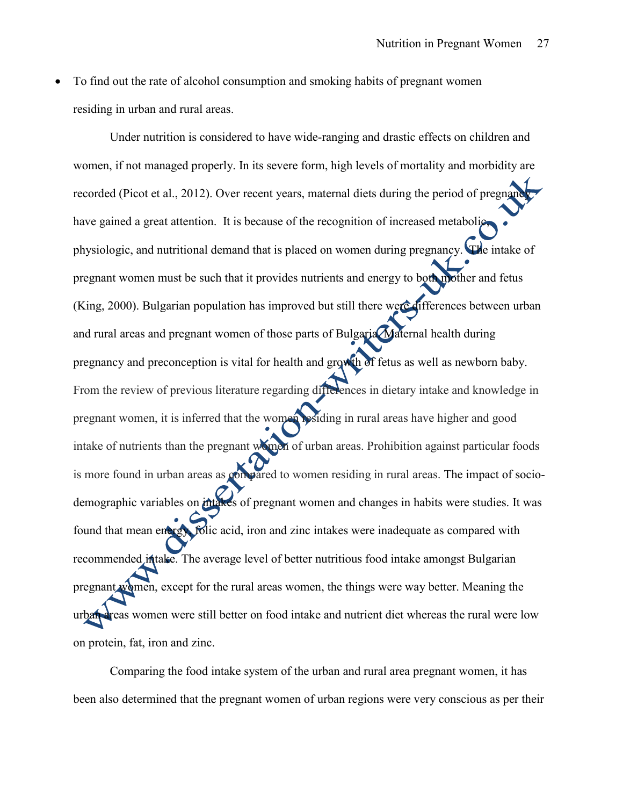To find out the rate of alcohol consumption and smoking habits of pregnant women residing in urban and rural areas.

Under nutrition is considered to have wide-ranging and drastic effects on children and women, if not managed properly. In its severe form, high levels of mortality and morbidity are recorded (Picot et al., 2012). Over recent years, maternal diets during the period of pregnancy have gained a great attention. It is because of the recognition of increased metabolic, physiologic, and nutritional demand that is placed on women during pregnancy. The intake of pregnant women must be such that it provides nutrients and energy to both mother and fetus (King, 2000). Bulgarian population has improved but still there were differences between urban and rural areas and pregnant women of those parts of Bulgaria. Maternal health during pregnancy and preconception is vital for health and growth of fetus as well as newborn baby. From the review of previous literature regarding differences in dietary intake and knowledge in pregnant women, it is inferred that the women residing in rural areas have higher and good intake of nutrients than the pregnant women of urban areas. Prohibition against particular foods is more found in urban areas as compared to women residing in rural areas. The impact of sociodemographic variables on intakes of pregnant women and changes in habits were studies. It was found that mean energy, folic acid, iron and zinc intakes were inadequate as compared with recommended intake. The average level of better nutritious food intake amongst Bulgarian pregnant women, except for the rural areas women, the things were way better. Meaning the urban areas women were still better on food intake and nutrient diet whereas the rural were low on protein, fat, iron and zinc.

Comparing the food intake system of the urban and rural area pregnant women, it has been also determined that the pregnant women of urban regions were very conscious as per their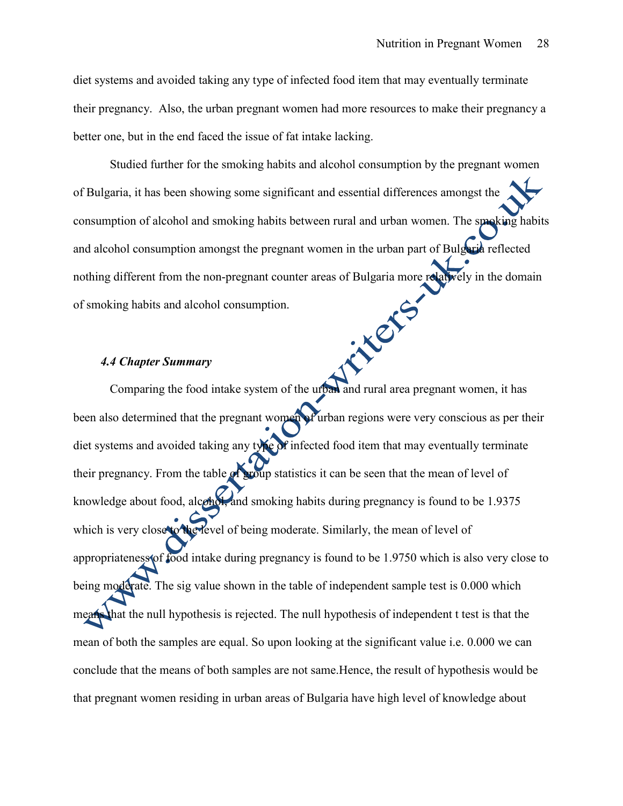diet systems and avoided taking any type of infected food item that may eventually terminate their pregnancy. Also, the urban pregnant women had more resources to make their pregnancy a better one, but in the end faced the issue of fat intake lacking.

Studied further for the smoking habits and alcohol consumption by the pregnant women of Bulgaria, it has been showing some significant and essential differences amongst the consumption of alcohol and smoking habits between rural and urban women. The smoking habits and alcohol consumption amongst the pregnant women in the urban part of Bulgaria reflected nothing different from the non-pregnant counter areas of Bulgaria more relatively in the domain interes of smoking habits and alcohol consumption.

#### *4.4 Chapter Summary*

Comparing the food intake system of the urban and rural area pregnant women, it has been also determined that the pregnant women of urban regions were very conscious as per their diet systems and avoided taking any type of infected food item that may eventually terminate their pregnancy. From the table of group statistics it can be seen that the mean of level of knowledge about food, alcohol, and smoking habits during pregnancy is found to be 1.9375 which is very close to the level of being moderate. Similarly, the mean of level of appropriateness of food intake during pregnancy is found to be 1.9750 which is also very close to being moderate. The sig value shown in the table of independent sample test is 0.000 which means that the null hypothesis is rejected. The null hypothesis of independent t test is that the mean of both the samples are equal. So upon looking at the significant value i.e. 0.000 we can conclude that the means of both samples are not same.Hence, the result of hypothesis would be that pregnant women residing in urban areas of Bulgaria have high level of knowledge about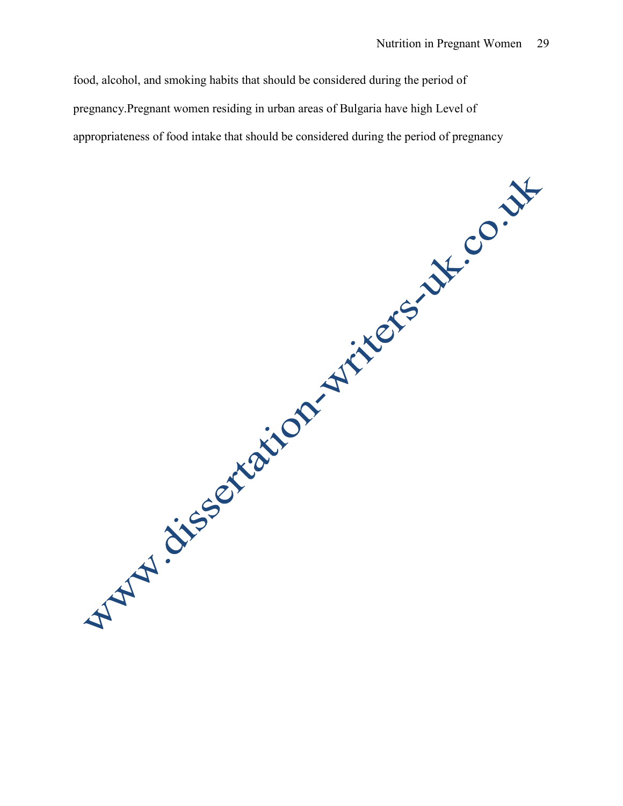food, alcohol, and smoking habits that should be considered during the period of pregnancy.Pregnant women residing in urban areas of Bulgaria have high Level of

appropriateness of food intake that should be considered during the period of pregnancy<br>approximately the considered during the period of pregnancy<br>approximately the considered during the period of pregnancy<br>considered dur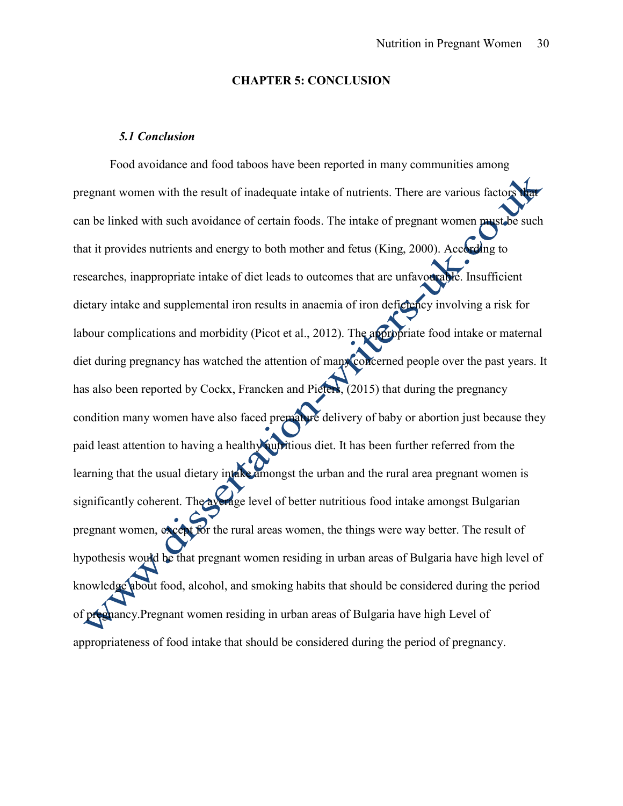#### **CHAPTER 5: CONCLUSION**

#### *5.1 Conclusion*

Food avoidance and food taboos have been reported in many communities among pregnant women with the result of inadequate intake of nutrients. There are various factors can be linked with such avoidance of certain foods. The intake of pregnant women must be such that it provides nutrients and energy to both mother and fetus (King, 2000). According to researches, inappropriate intake of diet leads to outcomes that are unfavourable. Insufficient dietary intake and supplemental iron results in anaemia of iron deficiency involving a risk for labour complications and morbidity (Picot et al., 2012). The appropriate food intake or maternal diet during pregnancy has watched the attention of many concerned people over the past years. It has also been reported by Cockx, Francken and Pieters, (2015) that during the pregnancy condition many women have also faced premature delivery of baby or abortion just because they paid least attention to having a healthy nutritious diet. It has been further referred from the learning that the usual dietary intake amongst the urban and the rural area pregnant women is significantly coherent. The average level of better nutritious food intake amongst Bulgarian pregnant women, except for the rural areas women, the things were way better. The result of hypothesis would be that pregnant women residing in urban areas of Bulgaria have high level of knowledge about food, alcohol, and smoking habits that should be considered during the period of pregnancy.Pregnant women residing in urban areas of Bulgaria have high Level of appropriateness of food intake that should be considered during the period of pregnancy.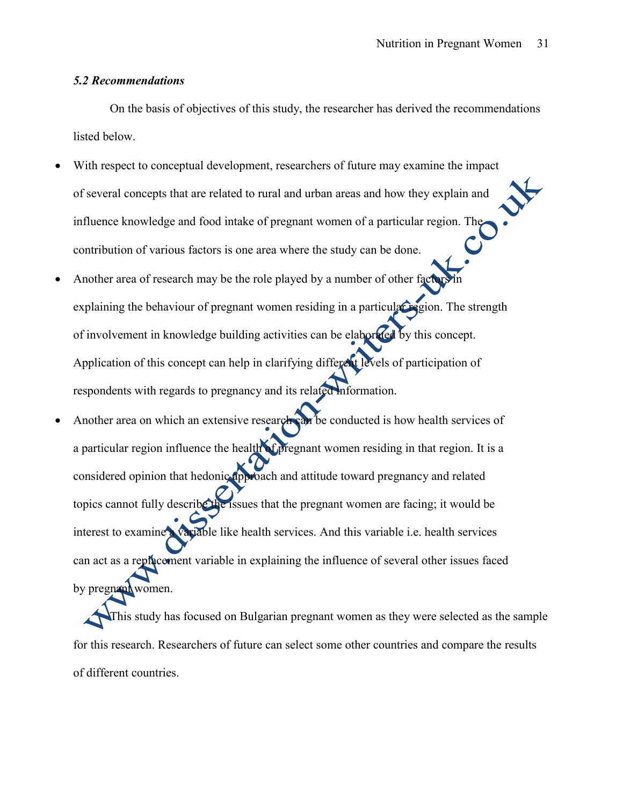#### *5.2 Recommendations*

On the basis of objectives of this study, the researcher has derived the recommendations listed below.

- With respect to conceptual development, researchers of future may examine the impact of several concepts that are related to rural and urban areas and how they explain and influence knowledge and food intake of pregnant women of a particular region. The contribution of various factors is one area where the study can be done.
- Another area of research may be the role played by a number of other factors explaining the behaviour of pregnant women residing in a particular region. The strength of involvement in knowledge building activities can be elaborated by this concept. Application of this concept can help in clarifying different levels of participation of respondents with regards to pregnancy and its related information.
- Another area on which an extensive research can be conducted is how health services of a particular region influence the health of pregnant women residing in that region. It is a considered opinion that hedonic approach and attitude toward pregnancy and related topics cannot fully describe the issues that the pregnant women are facing; it would be interest to examine a variable like health services. And this variable i.e. health services can act as a replacement variable in explaining the influence of several other issues faced by pregnant women.

This study has focused on Bulgarian pregnant women as they were selected as the sample for this research. Researchers of future can select some other countries and compare the results of different countries.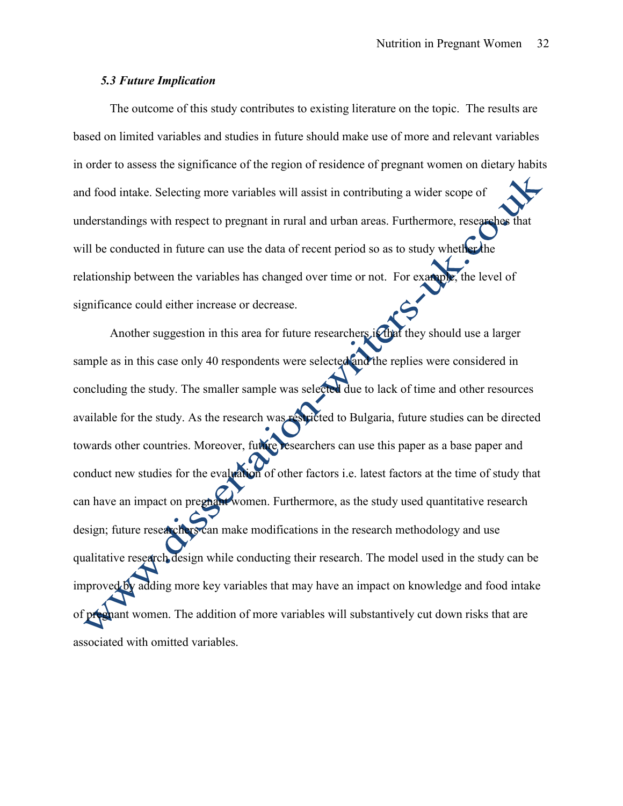#### *5.3 Future Implication*

The outcome of this study contributes to existing literature on the topic. The results are based on limited variables and studies in future should make use of more and relevant variables in order to assess the significance of the region of residence of pregnant women on dietary habits and food intake. Selecting more variables will assist in contributing a wider scope of understandings with respect to pregnant in rural and urban areas. Furthermore, researches that will be conducted in future can use the data of recent period so as to study whether the relationship between the variables has changed over time or not. For example, the level of significance could either increase or decrease.

Another suggestion in this area for future researchers if that they should use a larger sample as in this case only 40 respondents were selected and the replies were considered in concluding the study. The smaller sample was selected due to lack of time and other resources available for the study. As the research was restricted to Bulgaria, future studies can be directed towards other countries. Moreover, future researchers can use this paper as a base paper and conduct new studies for the evaluation of other factors i.e. latest factors at the time of study that can have an impact on pregnant women. Furthermore, as the study used quantitative research design; future researchers can make modifications in the research methodology and use qualitative research design while conducting their research. The model used in the study can be improved by adding more key variables that may have an impact on knowledge and food intake of pregnant women. The addition of more variables will substantively cut down risks that are associated with omitted variables.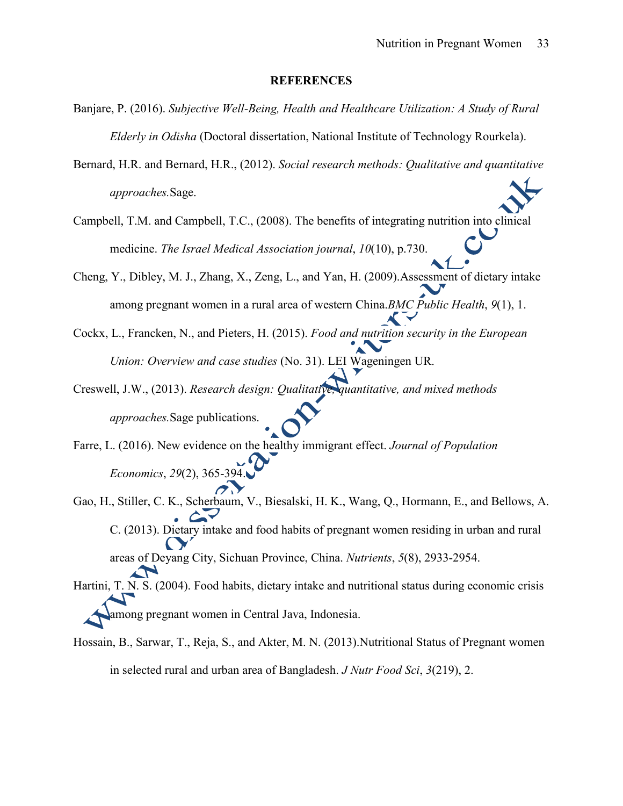#### **REFERENCES**

- Banjare, P. (2016). *Subjective Well-Being, Health and Healthcare Utilization: A Study of Rural Elderly in Odisha* (Doctoral dissertation, National Institute of Technology Rourkela).
- Bernard, H.R. and Bernard, H.R., (2012). *Social research methods: Qualitative and quantitative approaches.*Sage.
- Campbell, T.M. and Campbell, T.C., (2008). The benefits of integrating nutrition into clinical medicine. *The Israel Medical Association journal*, *10*(10), p.730.
- Cheng, Y., Dibley, M. J., Zhang, X., Zeng, L., and Yan, H. (2009).Assessment of dietary intake among pregnant women in a rural area of western China.*BMC Public Health*, *9*(1), 1.
- Cockx, L., Francken, N., and Pieters, H. (2015). *Food and nutrition security in the European Union: Overview and case studies* (No. 31). LEI Wageningen UR.
- Creswell, J.W., (2013). *Research design: Qualitative, quantitative, and mixed methods approaches.*Sage publications.
- Farre, L. (2016). New evidence on the healthy immigrant effect. *Journal of Population Economics*, *29*(2), 365-394.
- Gao, H., Stiller, C. K., Scherbaum, V., Biesalski, H. K., Wang, Q., Hormann, E., and Bellows, A. C. (2013). Dietary intake and food habits of pregnant women residing in urban and rural areas of Deyang City, Sichuan Province, China. *Nutrients*, *5*(8), 2933-2954.
- Hartini, T. N. S. (2004). Food habits, dietary intake and nutritional status during economic crisis among pregnant women in Central Java, Indonesia.
- Hossain, B., Sarwar, T., Reja, S., and Akter, M. N. (2013).Nutritional Status of Pregnant women in selected rural and urban area of Bangladesh. *J Nutr Food Sci*, *3*(219), 2.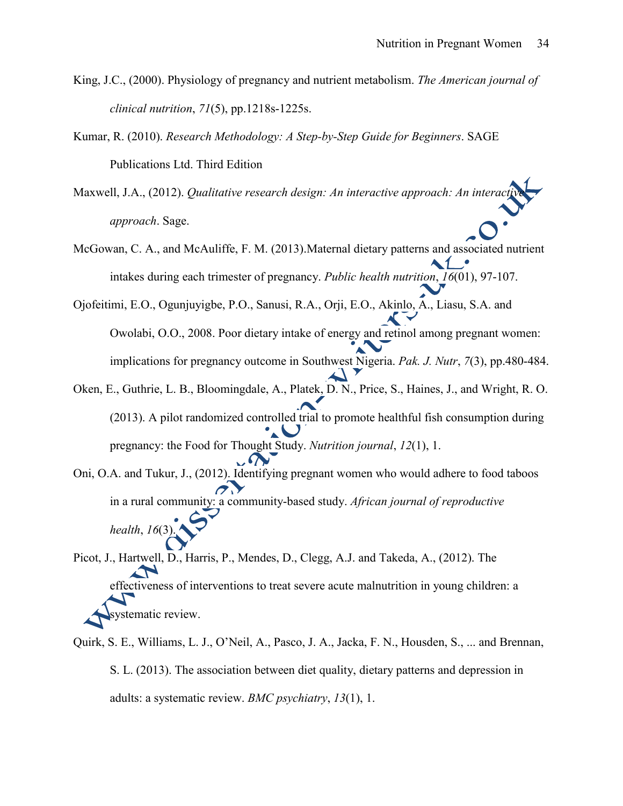- King, J.C., (2000). Physiology of pregnancy and nutrient metabolism. *The American journal of clinical nutrition*, *71*(5), pp.1218s-1225s.
- Kumar, R. (2010). *Research Methodology: A Step-by-Step Guide for Beginners*. SAGE Publications Ltd. Third Edition
- Maxwell, J.A., (2012). *Qualitative research design: An interactive approach: An intera approach*. Sage.
- McGowan, C. A., and McAuliffe, F. M. (2013).Maternal dietary patterns and associated nutrient intakes during each trimester of pregnancy. *Public health nutrition*, *16*(01), 97-107.
- Ojofeitimi, E.O., Ogunjuyigbe, P.O., Sanusi, R.A., Orji, E.O., Akinlo, A., Liasu, S.A. and Owolabi, O.O., 2008. Poor dietary intake of energy and retinol among pregnant women: implications for pregnancy outcome in Southwest Nigeria. *Pak. J. Nutr*, *7*(3), pp.480-484.
- Oken, E., Guthrie, L. B., Bloomingdale, A., Platek, D. N., Price, S., Haines, J., and Wright, R. O. (2013). A pilot randomized controlled trial to promote healthful fish consumption during pregnancy: the Food for Thought Study. *Nutrition journal*, *12*(1), 1.
- Oni, O.A. and Tukur, J., (2012). Identifying pregnant women who would adhere to food taboos in a rural community: a community-based study. *African journal of reproductive health*, *16*(3).
- Picot, J., Hartwell, D., Harris, P., Mendes, D., Clegg, A.J. and Takeda, A., (2012). The effectiveness of interventions to treat severe acute malnutrition in young children: a systematic review.
- Quirk, S. E., Williams, L. J., O'Neil, A., Pasco, J. A., Jacka, F. N., Housden, S., ... and Brennan, S. L. (2013). The association between diet quality, dietary patterns and depression in adults: a systematic review. *BMC psychiatry*, *13*(1), 1.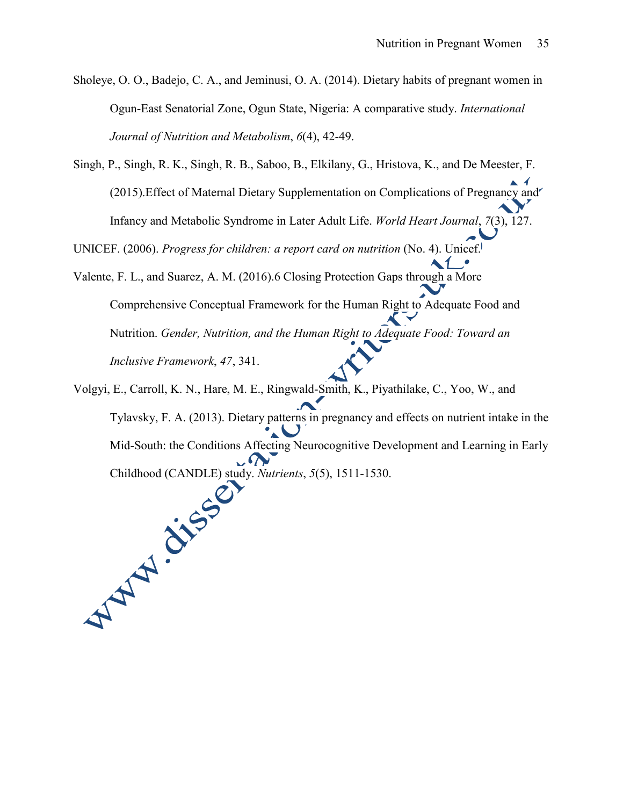Sholeye, O. O., Badejo, C. A., and Jeminusi, O. A. (2014). Dietary habits of pregnant women in Ogun-East Senatorial Zone, Ogun State, Nigeria: A comparative study. *International Journal of Nutrition and Metabolism*, *6*(4), 42-49.

Singh, P., Singh, R. K., Singh, R. B., Saboo, B., Elkilany, G., Hristova, K., and De Meester, F. (2015).Effect of Maternal Dietary Supplementation on Complications of Pregnancy and Infancy and Metabolic Syndrome in Later Adult Life. *World Heart Journal*, *7*(3), 127.

UNICEF. (2006). *Progress for children: a report card on nutrition* (No. 4). Unicef.

Valente, F. L., and Suarez, A. M. (2016).6 Closing Protection Gaps through a More Comprehensive Conceptual Framework for the Human Right to Adequate Food and Nutrition. *Gender, Nutrition, and the Human Right to Adequate Food: Toward an Inclusive Framework*, *47*, 341.

Volgyi, E., Carroll, K. N., Hare, M. E., Ringwald-Smith, K., Piyathilake, C., Yoo, W., and Tylavsky, F. A. (2013). Dietary patterns in pregnancy and effects on nutrient intake in the Mid-South: the Conditions Affecting Neurocognitive Development and Learning in Early Childhood (CANDLE) study. *Nutrients*, *5*(5), 1511-1530.  $\sqrt{\Omega}$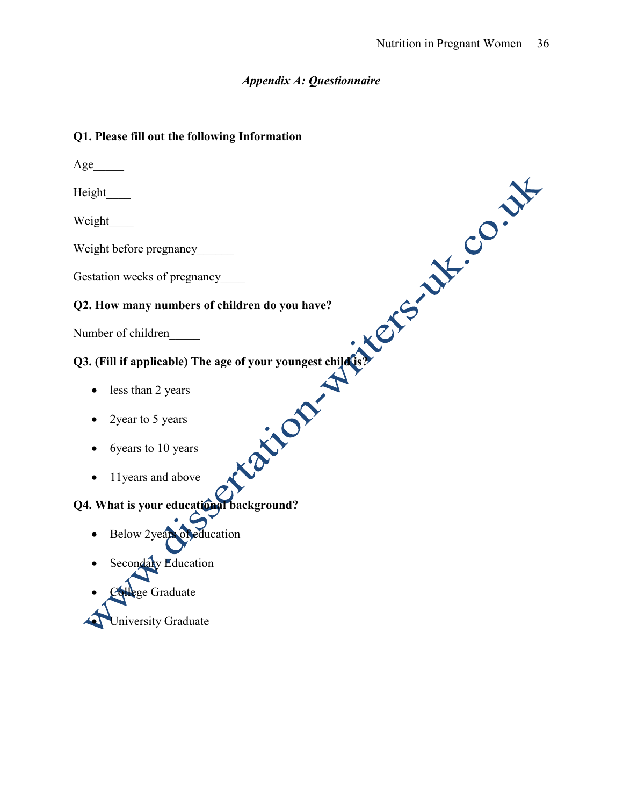### *Appendix A: Questionnaire*

### **Q1. Please fill out the following Information**

 $Age$ Height\_\_\_\_ Weight\_\_\_\_ Weight before pregnancy\_\_\_\_\_\_ Gestation weeks of pregnancy\_\_\_\_\_ **Q2. How many numbers of children do you have?** Number of children\_\_\_\_\_ **Q3. (Fill if applicable) The age of your youngest child is?** • less than 2 years • 2year to 5 years • 6years to 10 years • 11 years and above **Q4. What is your educational background?**  Below 2years of education Secondary Education ege Graduate

Iniversity Graduate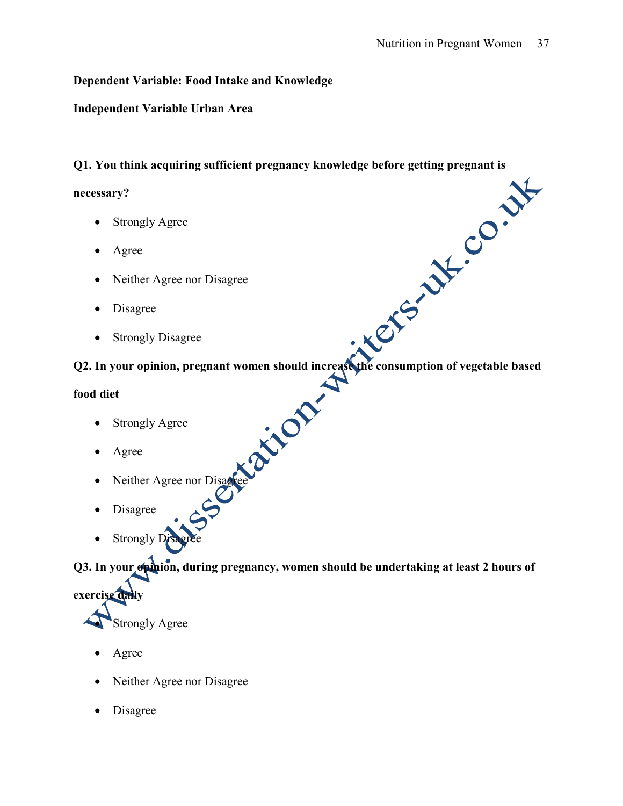### **Dependent Variable: Food Intake and Knowledge**

### **Independent Variable Urban Area**

### **Q1. You think acquiring sufficient pregnancy knowledge before getting pregnant is**

### **necessary?**

- Strongly Agree
- Agree
- Neither Agree nor Disagree
- Disagree
- Strongly Disagree

### **Q2. In your opinion, pregnant women should increase the consumption of vegetable based**

### **food diet**

- Strongly Agree
- Agree
- Neither Agree nor Disagree
- Disagree
- Strongly Disagree

**Q3. In your opinion, during pregnancy, women should be undertaking at least 2 hours of** 



- Agree
- Neither Agree nor Disagree
- Disagree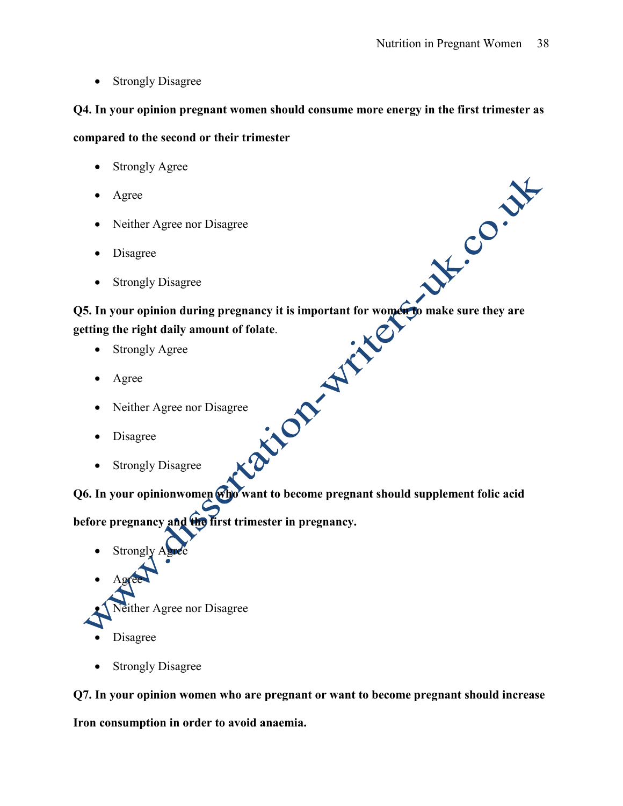• Strongly Disagree

## **Q4. In your opinion pregnant women should consume more energy in the first trimester as**

### **compared to the second or their trimester**

- Strongly Agree
- Agree
- Neither Agree nor Disagree
- Disagree
- Strongly Disagree

**Q5. In your opinion during pregnancy it is important for women to make sure they are getting the right daily amount of folate**.

- Strongly Agree
- Agree
- Neither Agree nor Disagree
- Disagree
- Strongly Disagree

**Q6. In your opinionwomen who want to become pregnant should supplement folic acid** 

before pregnancy and the first trimester in pregnancy.

- Strongly
- Agree
- Neither Agree nor Disagree
- Disagree
- Strongly Disagree

**Q7. In your opinion women who are pregnant or want to become pregnant should increase** 

**Iron consumption in order to avoid anaemia.**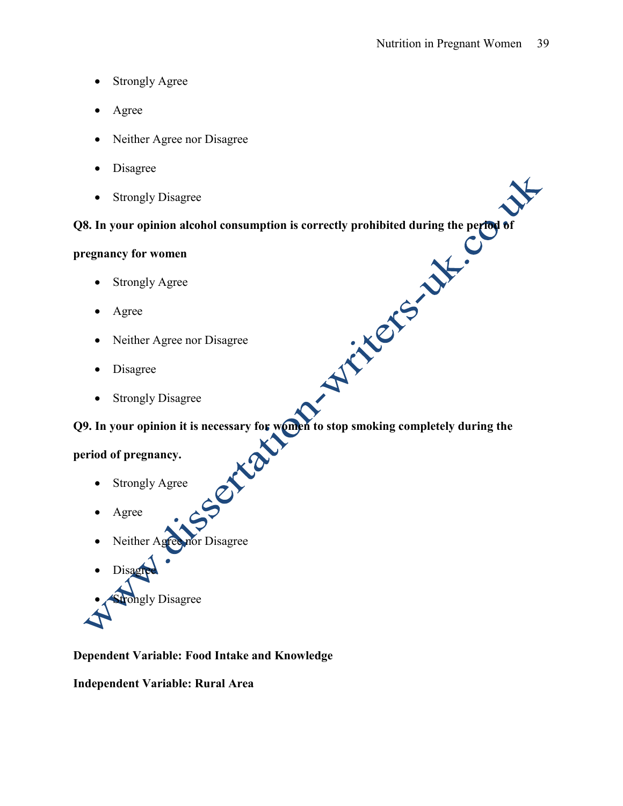- Strongly Agree
- Agree
- Neither Agree nor Disagree
- Disagree
- Strongly Disagree

### **Q8. In your opinion alcohol consumption is correctly prohibited during the period of**

### **pregnancy for women**

- Strongly Agree
- Agree
- Neither Agree nor Disagree
- Disagree
- Strongly Disagree

**Q9. In your opinion it is necessary for women to stop smoking completely during the** 

### **period of pregnancy.**

- Strongly Agree
- Agree
- Neither Agree nor Disagree
- Disagr **Strongly Disagree**

### **Dependent Variable: Food Intake and Knowledge**

**Independent Variable: Rural Area**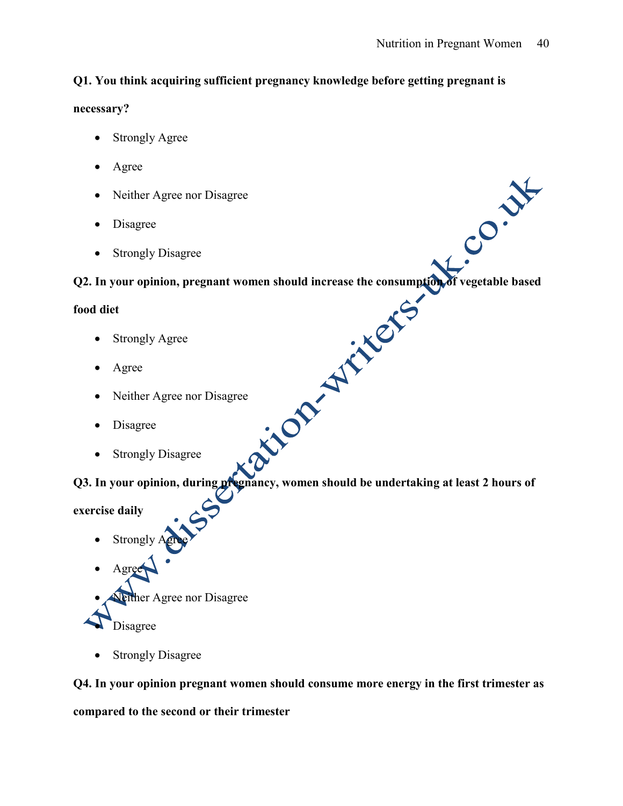### **Q1. You think acquiring sufficient pregnancy knowledge before getting pregnant is**

### **necessary?**

- Strongly Agree
- Agree
- Neither Agree nor Disagree
- Disagree
- Strongly Disagree

**COLUS AND SET ON STRONG SET ON STRONG SET ON STRONG SET ON STRONG SET ON STRONG SET ON STRONG SET ON STRONG SET ON STRONG SET ON STRONG SET ON STRONG SET ON STRONG SET ON STRONG SET ON STRONG SET ON STRONG SET ON STRONG S** 

### **food diet**

- Strongly Agree
- Agree
- Neither Agree nor Disagree
- Disagree
- Strongly Disagree

**Q3. In your opinion, during pregnancy, women should be undertaking at least 2 hours of** 

### **exercise daily**

- Strongly
- Neither Agree nor Disagree
- Disagree

Agree

• Strongly Disagree

# **Q4. In your opinion pregnant women should consume more energy in the first trimester as compared to the second or their trimester**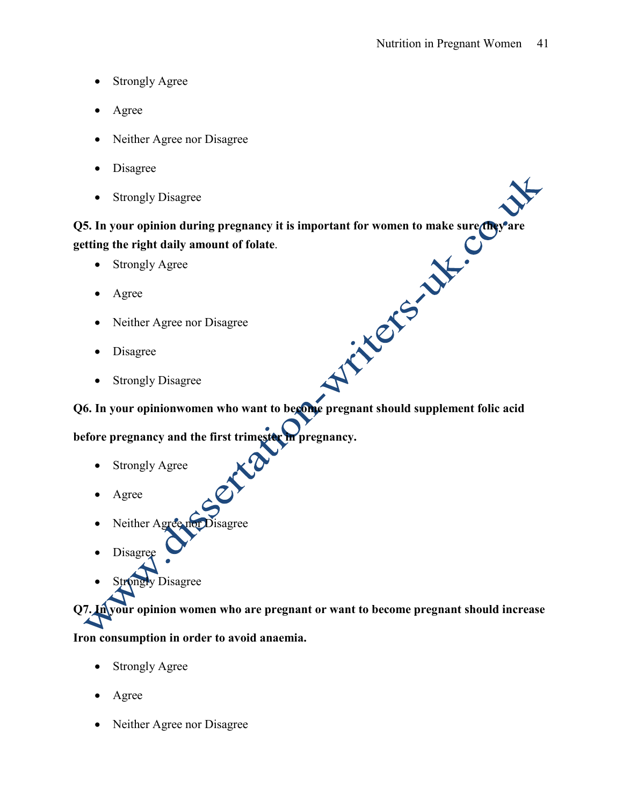- Strongly Agree
- Agree
- Neither Agree nor Disagree
- Disagree
- Strongly Disagree

**Q5. In your opinion during pregnancy it is important for women to make sure they are getting the right daily amount of folate**.

- Strongly Agree
- Agree
- Neither Agree nor Disagree
- Disagree
- Strongly Disagree

**Q6. In your opinionwomen who want to become pregnant should supplement folic acid** 

**before pregnancy and the first trimester in pregnancy.** 

KO

- Strongly Agree
- Agree
- Neither Agree nor Disagree
- Disagree
- **Strongly Disagree**

**Q7. In your opinion women who are pregnant or want to become pregnant should increase** 

### **Iron consumption in order to avoid anaemia.**

- Strongly Agree
- Agree
- Neither Agree nor Disagree